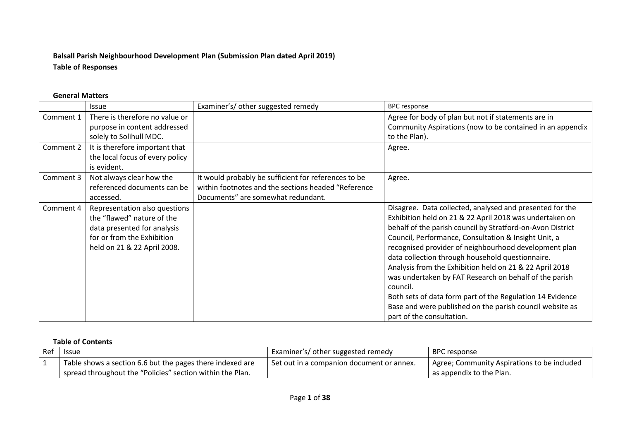# **Balsall Parish Neighbourhood Development Plan (Submission Plan dated April 2019) Table of Responses**

### **General Matters**

|           | <b>Issue</b>                    | Examiner's/other suggested remedy                    | <b>BPC response</b>                                        |
|-----------|---------------------------------|------------------------------------------------------|------------------------------------------------------------|
| Comment 1 | There is therefore no value or  |                                                      | Agree for body of plan but not if statements are in        |
|           | purpose in content addressed    |                                                      | Community Aspirations (now to be contained in an appendix  |
|           | solely to Solihull MDC.         |                                                      | to the Plan).                                              |
| Comment 2 | It is therefore important that  |                                                      | Agree.                                                     |
|           | the local focus of every policy |                                                      |                                                            |
|           | is evident.                     |                                                      |                                                            |
| Comment 3 | Not always clear how the        | It would probably be sufficient for references to be | Agree.                                                     |
|           | referenced documents can be     | within footnotes and the sections headed "Reference  |                                                            |
|           | accessed.                       | Documents" are somewhat redundant.                   |                                                            |
| Comment 4 | Representation also questions   |                                                      | Disagree. Data collected, analysed and presented for the   |
|           | the "flawed" nature of the      |                                                      | Exhibition held on 21 & 22 April 2018 was undertaken on    |
|           | data presented for analysis     |                                                      | behalf of the parish council by Stratford-on-Avon District |
|           | for or from the Exhibition      |                                                      | Council, Performance, Consultation & Insight Unit, a       |
|           | held on 21 & 22 April 2008.     |                                                      | recognised provider of neighbourhood development plan      |
|           |                                 |                                                      | data collection through household questionnaire.           |
|           |                                 |                                                      | Analysis from the Exhibition held on 21 & 22 April 2018    |
|           |                                 |                                                      | was undertaken by FAT Research on behalf of the parish     |
|           |                                 |                                                      | council.                                                   |
|           |                                 |                                                      | Both sets of data form part of the Regulation 14 Evidence  |
|           |                                 |                                                      | Base and were published on the parish council website as   |
|           |                                 |                                                      | part of the consultation.                                  |

#### **Table of Contents**

| Ref | Issue                                                       | Examiner's/ other suggested remedy          | <b>BPC</b> response                         |
|-----|-------------------------------------------------------------|---------------------------------------------|---------------------------------------------|
|     | Table shows a section 6.6 but the pages there indexed are   | l Set out in a companion document or annex. | Agree; Community Aspirations to be included |
|     | I spread throughout the "Policies" section within the Plan. |                                             | as appendix to the Plan.                    |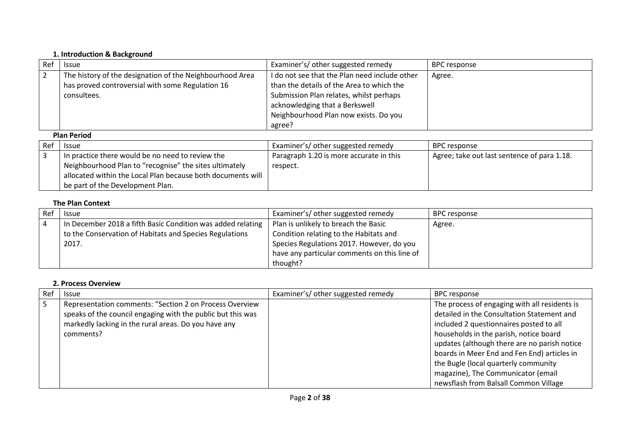#### **1. Introduction & Background**

| Ref | <b>Issue</b>                                                                                                                | Examiner's/ other suggested remedy                                                                                                                                                                                         | <b>BPC</b> response |
|-----|-----------------------------------------------------------------------------------------------------------------------------|----------------------------------------------------------------------------------------------------------------------------------------------------------------------------------------------------------------------------|---------------------|
|     | The history of the designation of the Neighbourhood Area<br>has proved controversial with some Regulation 16<br>consultees. | I do not see that the Plan need include other<br>than the details of the Area to which the<br>Submission Plan relates, whilst perhaps<br>acknowledging that a Berkswell<br>Neighbourhood Plan now exists. Do you<br>agree? | Agree.              |
|     |                                                                                                                             |                                                                                                                                                                                                                            |                     |
|     | <b>Plan Period</b>                                                                                                          |                                                                                                                                                                                                                            |                     |
| Ref | <b>Issue</b>                                                                                                                | Examiner's/ other suggested remedy                                                                                                                                                                                         | <b>BPC response</b> |

| <b>Ref</b> | <b>Issue</b>                                                | Examiner's/ other suggested remedy      | BPC response                                |
|------------|-------------------------------------------------------------|-----------------------------------------|---------------------------------------------|
|            | In practice there would be no need to review the            | Paragraph 1.20 is more accurate in this | Agree; take out last sentence of para 1.18. |
|            | Neighbourhood Plan to "recognise" the sites ultimately      | respect.                                |                                             |
|            | allocated within the Local Plan because both documents will |                                         |                                             |
|            | be part of the Development Plan.                            |                                         |                                             |

### **The Plan Context**

| Ref | <b>Issue</b>                                                | Examiner's/ other suggested remedy           | BPC response |
|-----|-------------------------------------------------------------|----------------------------------------------|--------------|
| -4  | In December 2018 a fifth Basic Condition was added relating | Plan is unlikely to breach the Basic         | Agree.       |
|     | to the Conservation of Habitats and Species Regulations     | Condition relating to the Habitats and       |              |
|     | 2017.                                                       | Species Regulations 2017. However, do you    |              |
|     |                                                             | have any particular comments on this line of |              |
|     |                                                             | thought?                                     |              |

# **2. Process Overview**

| Rei | <b>Issue</b>                                                                                                                                                                                | Examiner's/ other suggested remedy | <b>BPC response</b>                                                                                                                                                                                                                                                                                                                                           |
|-----|---------------------------------------------------------------------------------------------------------------------------------------------------------------------------------------------|------------------------------------|---------------------------------------------------------------------------------------------------------------------------------------------------------------------------------------------------------------------------------------------------------------------------------------------------------------------------------------------------------------|
|     | Representation comments: "Section 2 on Process Overview<br>speaks of the council engaging with the public but this was<br>markedly lacking in the rural areas. Do you have any<br>comments? |                                    | The process of engaging with all residents is<br>detailed in the Consultation Statement and<br>included 2 questionnaires posted to all<br>households in the parish, notice board<br>updates (although there are no parish notice<br>boards in Meer End and Fen End) articles in<br>the Bugle (local quarterly community<br>magazine), The Communicator (email |
|     |                                                                                                                                                                                             |                                    | newsflash from Balsall Common Village                                                                                                                                                                                                                                                                                                                         |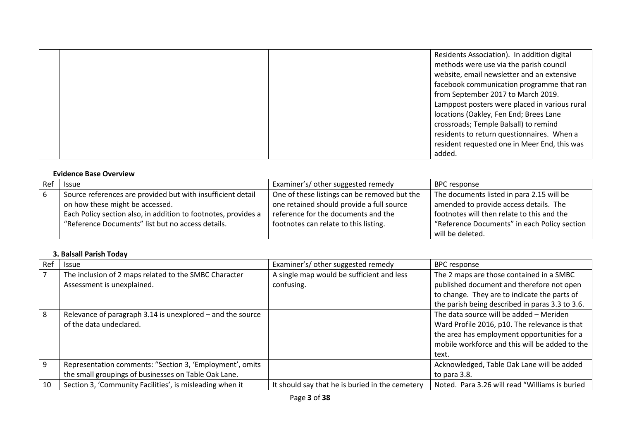|  | Residents Association). In addition digital   |
|--|-----------------------------------------------|
|  | methods were use via the parish council       |
|  | website, email newsletter and an extensive    |
|  | facebook communication programme that ran     |
|  | from September 2017 to March 2019.            |
|  | Lamppost posters were placed in various rural |
|  | locations (Oakley, Fen End; Brees Lane        |
|  | crossroads; Temple Balsall) to remind         |
|  | residents to return questionnaires. When a    |
|  | resident requested one in Meer End, this was  |
|  | added.                                        |

### **Evidence Base Overview**

| Ref | <b>Issue</b>                                                   | Examiner's/ other suggested remedy                        | <b>BPC response</b>                          |
|-----|----------------------------------------------------------------|-----------------------------------------------------------|----------------------------------------------|
|     | Source references are provided but with insufficient detail    | <sup>1</sup> One of these listings can be removed but the | The documents listed in para 2.15 will be    |
|     | on how these might be accessed.                                | one retained should provide a full source                 | amended to provide access details. The       |
|     | Each Policy section also, in addition to footnotes, provides a | reference for the documents and the                       | footnotes will then relate to this and the   |
|     | "Reference Documents" list but no access details.              | footnotes can relate to this listing.                     | "Reference Documents" in each Policy section |
|     |                                                                |                                                           | will be deleted.                             |

### **3. Balsall Parish Today**

| Ref | <b>Issue</b>                                                                          | Examiner's/other suggested remedy               | <b>BPC</b> response                                                                                                                                                                                |
|-----|---------------------------------------------------------------------------------------|-------------------------------------------------|----------------------------------------------------------------------------------------------------------------------------------------------------------------------------------------------------|
|     | The inclusion of 2 maps related to the SMBC Character                                 | A single map would be sufficient and less       | The 2 maps are those contained in a SMBC                                                                                                                                                           |
|     | Assessment is unexplained.                                                            | confusing.                                      | published document and therefore not open                                                                                                                                                          |
|     |                                                                                       |                                                 | to change. They are to indicate the parts of                                                                                                                                                       |
|     |                                                                                       |                                                 | the parish being described in paras 3.3 to 3.6.                                                                                                                                                    |
| 8   | Relevance of paragraph 3.14 is unexplored - and the source<br>of the data undeclared. |                                                 | The data source will be added - Meriden<br>Ward Profile 2016, p10. The relevance is that<br>the area has employment opportunities for a<br>mobile workforce and this will be added to the<br>text. |
| 9   | Representation comments: "Section 3, 'Employment', omits                              |                                                 | Acknowledged, Table Oak Lane will be added                                                                                                                                                         |
|     | the small groupings of businesses on Table Oak Lane.                                  |                                                 | to para 3.8.                                                                                                                                                                                       |
| 10  | Section 3, 'Community Facilities', is misleading when it                              | It should say that he is buried in the cemetery | Noted. Para 3.26 will read "Williams is buried                                                                                                                                                     |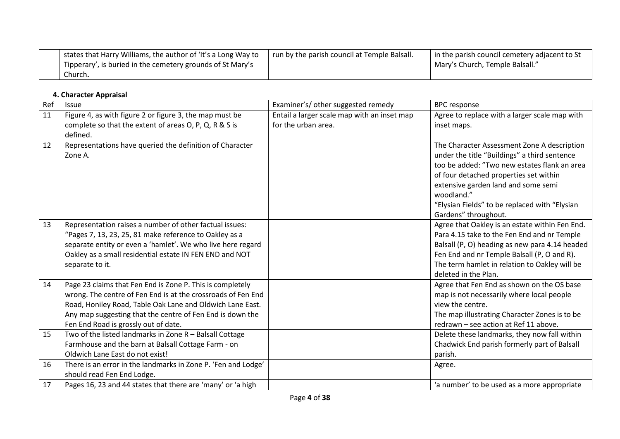| states that Harry Williams, the author of 'It's a Long Way to<br>Tipperary', is buried in the cemetery grounds of St Mary's | I run by the parish council at Temple Balsall. | I in the parish council cemetery adjacent to St<br>Mary's Church, Temple Balsall." |
|-----------------------------------------------------------------------------------------------------------------------------|------------------------------------------------|------------------------------------------------------------------------------------|
| Church <b>.</b>                                                                                                             |                                                |                                                                                    |

#### **4. Character Appraisal**

| Ref | Issue                                                         | Examiner's/ other suggested remedy          | <b>BPC</b> response                            |
|-----|---------------------------------------------------------------|---------------------------------------------|------------------------------------------------|
| 11  | Figure 4, as with figure 2 or figure 3, the map must be       | Entail a larger scale map with an inset map | Agree to replace with a larger scale map with  |
|     | complete so that the extent of areas O, P, Q, R & S is        | for the urban area.                         | inset maps.                                    |
|     | defined.                                                      |                                             |                                                |
| 12  | Representations have queried the definition of Character      |                                             | The Character Assessment Zone A description    |
|     | Zone A.                                                       |                                             | under the title "Buildings" a third sentence   |
|     |                                                               |                                             | too be added: "Two new estates flank an area   |
|     |                                                               |                                             | of four detached properties set within         |
|     |                                                               |                                             | extensive garden land and some semi            |
|     |                                                               |                                             | woodland."                                     |
|     |                                                               |                                             | "Elysian Fields" to be replaced with "Elysian  |
|     |                                                               |                                             | Gardens" throughout.                           |
| 13  | Representation raises a number of other factual issues:       |                                             | Agree that Oakley is an estate within Fen End. |
|     | "Pages 7, 13, 23, 25, 81 make reference to Oakley as a        |                                             | Para 4.15 take to the Fen End and nr Temple    |
|     | separate entity or even a 'hamlet'. We who live here regard   |                                             | Balsall (P, O) heading as new para 4.14 headed |
|     | Oakley as a small residential estate IN FEN END and NOT       |                                             | Fen End and nr Temple Balsall (P, O and R).    |
|     | separate to it.                                               |                                             | The term hamlet in relation to Oakley will be  |
|     |                                                               |                                             | deleted in the Plan.                           |
| 14  | Page 23 claims that Fen End is Zone P. This is completely     |                                             | Agree that Fen End as shown on the OS base     |
|     | wrong. The centre of Fen End is at the crossroads of Fen End  |                                             | map is not necessarily where local people      |
|     | Road, Honiley Road, Table Oak Lane and Oldwich Lane East.     |                                             | view the centre.                               |
|     | Any map suggesting that the centre of Fen End is down the     |                                             | The map illustrating Character Zones is to be  |
|     | Fen End Road is grossly out of date.                          |                                             | redrawn - see action at Ref 11 above.          |
| 15  | Two of the listed landmarks in Zone R - Balsall Cottage       |                                             | Delete these landmarks, they now fall within   |
|     | Farmhouse and the barn at Balsall Cottage Farm - on           |                                             | Chadwick End parish formerly part of Balsall   |
|     | Oldwich Lane East do not exist!                               |                                             | parish.                                        |
| 16  | There is an error in the landmarks in Zone P. 'Fen and Lodge' |                                             | Agree.                                         |
|     | should read Fen End Lodge.                                    |                                             |                                                |
| 17  | Pages 16, 23 and 44 states that there are 'many' or 'a high   |                                             | 'a number' to be used as a more appropriate    |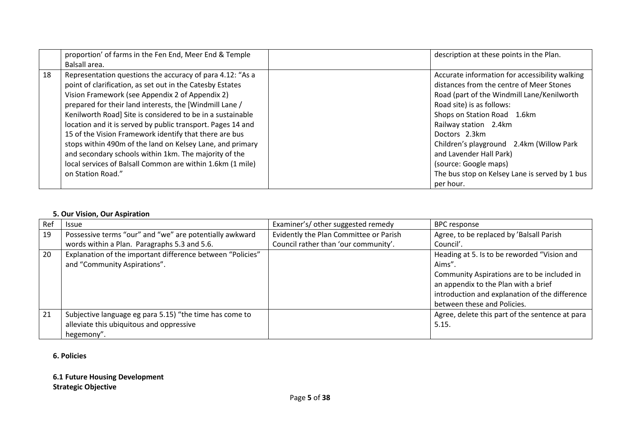|    | proportion' of farms in the Fen End, Meer End & Temple      | description at these points in the Plan.       |
|----|-------------------------------------------------------------|------------------------------------------------|
|    | Balsall area.                                               |                                                |
| 18 | Representation questions the accuracy of para 4.12: "As a   | Accurate information for accessibility walking |
|    | point of clarification, as set out in the Catesby Estates   | distances from the centre of Meer Stones       |
|    | Vision Framework (see Appendix 2 of Appendix 2)             | Road (part of the Windmill Lane/Kenilworth     |
|    | prepared for their land interests, the [Windmill Lane /     | Road site) is as follows:                      |
|    | Kenilworth Road] Site is considered to be in a sustainable  | Shops on Station Road 1.6km                    |
|    | location and it is served by public transport. Pages 14 and | Railway station 2.4km                          |
|    | 15 of the Vision Framework identify that there are bus      | Doctors 2.3km                                  |
|    | stops within 490m of the land on Kelsey Lane, and primary   | Children's playground 2.4km (Willow Park       |
|    | and secondary schools within 1km. The majority of the       | and Lavender Hall Park)                        |
|    | local services of Balsall Common are within 1.6km (1 mile)  | (source: Google maps)                          |
|    | on Station Road."                                           | The bus stop on Kelsey Lane is served by 1 bus |
|    |                                                             | per hour.                                      |

## **5. Our Vision, Our Aspiration**

| Ref | <b>Issue</b>                                               | Examiner's/ other suggested remedy     | <b>BPC response</b>                                                                                                                                                  |
|-----|------------------------------------------------------------|----------------------------------------|----------------------------------------------------------------------------------------------------------------------------------------------------------------------|
| 19  | Possessive terms "our" and "we" are potentially awkward    | Evidently the Plan Committee or Parish | Agree, to be replaced by 'Balsall Parish                                                                                                                             |
|     | words within a Plan. Paragraphs 5.3 and 5.6.               | Council rather than 'our community'.   | Council'.                                                                                                                                                            |
| 20  | Explanation of the important difference between "Policies" |                                        | Heading at 5. Is to be reworded "Vision and                                                                                                                          |
|     | and "Community Aspirations".                               |                                        | Aims".                                                                                                                                                               |
|     |                                                            |                                        | Community Aspirations are to be included in<br>an appendix to the Plan with a brief<br>introduction and explanation of the difference<br>between these and Policies. |
| 21  | Subjective language eg para 5.15) "the time has come to    |                                        | Agree, delete this part of the sentence at para                                                                                                                      |
|     | alleviate this ubiquitous and oppressive                   |                                        | 5.15.                                                                                                                                                                |
|     | hegemony".                                                 |                                        |                                                                                                                                                                      |

### **6. Policies**

## **6.1 Future Housing Development Strategic Objective**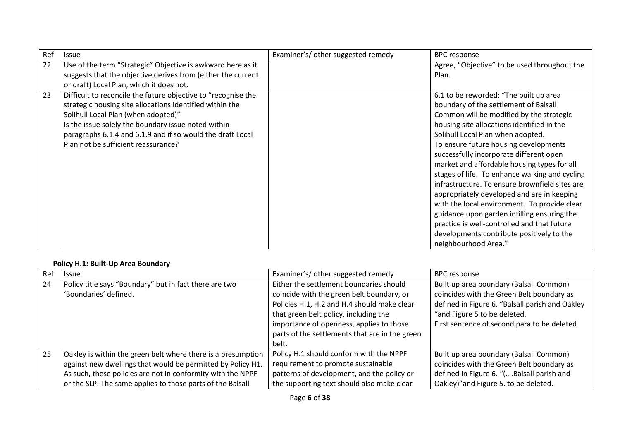| Ref | <b>Issue</b>                                                  | Examiner's/ other suggested remedy | <b>BPC</b> response                            |
|-----|---------------------------------------------------------------|------------------------------------|------------------------------------------------|
| 22  | Use of the term "Strategic" Objective is awkward here as it   |                                    | Agree, "Objective" to be used throughout the   |
|     | suggests that the objective derives from (either the current  |                                    | Plan.                                          |
|     | or draft) Local Plan, which it does not.                      |                                    |                                                |
| 23  | Difficult to reconcile the future objective to "recognise the |                                    | 6.1 to be reworded: "The built up area         |
|     | strategic housing site allocations identified within the      |                                    | boundary of the settlement of Balsall          |
|     | Solihull Local Plan (when adopted)"                           |                                    | Common will be modified by the strategic       |
|     | Is the issue solely the boundary issue noted within           |                                    | housing site allocations identified in the     |
|     | paragraphs 6.1.4 and 6.1.9 and if so would the draft Local    |                                    | Solihull Local Plan when adopted.              |
|     | Plan not be sufficient reassurance?                           |                                    | To ensure future housing developments          |
|     |                                                               |                                    | successfully incorporate different open        |
|     |                                                               |                                    | market and affordable housing types for all    |
|     |                                                               |                                    | stages of life. To enhance walking and cycling |
|     |                                                               |                                    | infrastructure. To ensure brownfield sites are |
|     |                                                               |                                    | appropriately developed and are in keeping     |
|     |                                                               |                                    | with the local environment. To provide clear   |
|     |                                                               |                                    | guidance upon garden infilling ensuring the    |
|     |                                                               |                                    | practice is well-controlled and that future    |
|     |                                                               |                                    | developments contribute positively to the      |
|     |                                                               |                                    | neighbourhood Area."                           |

### **Policy H.1: Built-Up Area Boundary**

| Ref | <b>Issue</b>                                                 | Examiner's/ other suggested remedy             | <b>BPC</b> response                             |
|-----|--------------------------------------------------------------|------------------------------------------------|-------------------------------------------------|
| 24  | Policy title says "Boundary" but in fact there are two       | Either the settlement boundaries should        | Built up area boundary (Balsall Common)         |
|     | 'Boundaries' defined.                                        | coincide with the green belt boundary, or      | coincides with the Green Belt boundary as       |
|     |                                                              | Policies H.1, H.2 and H.4 should make clear    | defined in Figure 6. "Balsall parish and Oakley |
|     |                                                              | that green belt policy, including the          | "and Figure 5 to be deleted.                    |
|     |                                                              | importance of openness, applies to those       | First sentence of second para to be deleted.    |
|     |                                                              | parts of the settlements that are in the green |                                                 |
|     |                                                              | belt.                                          |                                                 |
| 25  | Oakley is within the green belt where there is a presumption | Policy H.1 should conform with the NPPF        | Built up area boundary (Balsall Common)         |
|     | against new dwellings that would be permitted by Policy H1.  | requirement to promote sustainable             | coincides with the Green Belt boundary as       |
|     | As such, these policies are not in conformity with the NPPF  | patterns of development, and the policy or     | defined in Figure 6. "(Balsall parish and       |
|     | or the SLP. The same applies to those parts of the Balsall   | the supporting text should also make clear     | Oakley)" and Figure 5. to be deleted.           |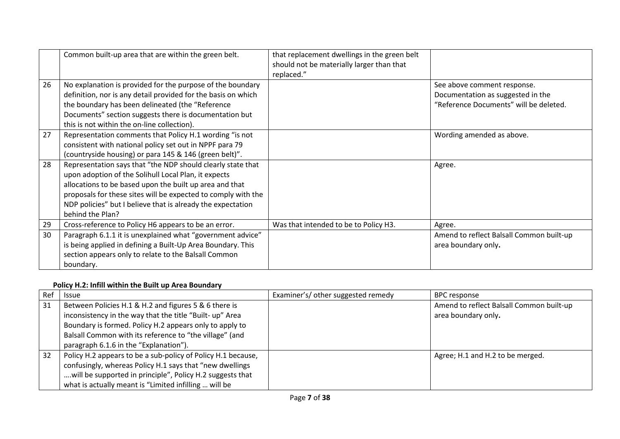|    | Common built-up area that are within the green belt.                                                                                                                                                                                                                                                                               | that replacement dwellings in the green belt<br>should not be materially larger than that<br>replaced." |                                                                                                            |
|----|------------------------------------------------------------------------------------------------------------------------------------------------------------------------------------------------------------------------------------------------------------------------------------------------------------------------------------|---------------------------------------------------------------------------------------------------------|------------------------------------------------------------------------------------------------------------|
| 26 | No explanation is provided for the purpose of the boundary<br>definition, nor is any detail provided for the basis on which<br>the boundary has been delineated (the "Reference<br>Documents" section suggests there is documentation but<br>this is not within the on-line collection).                                           |                                                                                                         | See above comment response.<br>Documentation as suggested in the<br>"Reference Documents" will be deleted. |
| 27 | Representation comments that Policy H.1 wording "is not<br>consistent with national policy set out in NPPF para 79<br>(countryside housing) or para 145 & 146 (green belt)".                                                                                                                                                       |                                                                                                         | Wording amended as above.                                                                                  |
| 28 | Representation says that "the NDP should clearly state that<br>upon adoption of the Solihull Local Plan, it expects<br>allocations to be based upon the built up area and that<br>proposals for these sites will be expected to comply with the<br>NDP policies" but I believe that is already the expectation<br>behind the Plan? |                                                                                                         | Agree.                                                                                                     |
| 29 | Cross-reference to Policy H6 appears to be an error.                                                                                                                                                                                                                                                                               | Was that intended to be to Policy H3.                                                                   | Agree.                                                                                                     |
| 30 | Paragraph 6.1.1 it is unexplained what "government advice"<br>is being applied in defining a Built-Up Area Boundary. This<br>section appears only to relate to the Balsall Common<br>boundary.                                                                                                                                     |                                                                                                         | Amend to reflect Balsall Common built-up<br>area boundary only.                                            |

# **Policy H.2: Infill within the Built up Area Boundary**

| Ref | <b>Issue</b>                                                 | Examiner's/ other suggested remedy | <b>BPC response</b>                      |
|-----|--------------------------------------------------------------|------------------------------------|------------------------------------------|
| 31  | Between Policies H.1 & H.2 and figures 5 & 6 there is        |                                    | Amend to reflect Balsall Common built-up |
|     | inconsistency in the way that the title "Built- up" Area     |                                    | area boundary only.                      |
|     | Boundary is formed. Policy H.2 appears only to apply to      |                                    |                                          |
|     | Balsall Common with its reference to "the village" (and      |                                    |                                          |
|     | paragraph 6.1.6 in the "Explanation").                       |                                    |                                          |
| 32  | Policy H.2 appears to be a sub-policy of Policy H.1 because, |                                    | Agree; H.1 and H.2 to be merged.         |
|     | confusingly, whereas Policy H.1 says that "new dwellings     |                                    |                                          |
|     | will be supported in principle", Policy H.2 suggests that    |                                    |                                          |
|     | what is actually meant is "Limited infilling  will be        |                                    |                                          |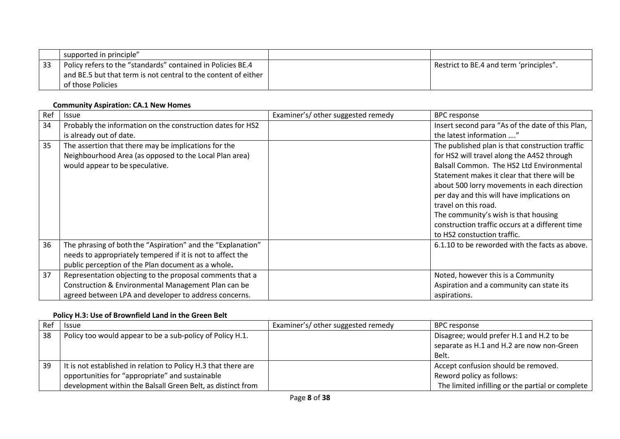|      | supported in principle"                                        |                                         |
|------|----------------------------------------------------------------|-----------------------------------------|
| - 33 | Policy refers to the "standards" contained in Policies BE.4    | Restrict to BE.4 and term 'principles". |
|      | and BE.5 but that term is not central to the content of either |                                         |
|      | of those Policies                                              |                                         |

## **Community Aspiration: CA.1 New Homes**

| Ref | <b>Issue</b>                                                | Examiner's/ other suggested remedy | <b>BPC response</b>                              |
|-----|-------------------------------------------------------------|------------------------------------|--------------------------------------------------|
| 34  | Probably the information on the construction dates for HS2  |                                    | Insert second para "As of the date of this Plan, |
|     | is already out of date.                                     |                                    | the latest information "                         |
| 35  | The assertion that there may be implications for the        |                                    | The published plan is that construction traffic  |
|     | Neighbourhood Area (as opposed to the Local Plan area)      |                                    | for HS2 will travel along the A452 through       |
|     | would appear to be speculative.                             |                                    | Balsall Common. The HS2 Ltd Environmental        |
|     |                                                             |                                    | Statement makes it clear that there will be      |
|     |                                                             |                                    | about 500 lorry movements in each direction      |
|     |                                                             |                                    | per day and this will have implications on       |
|     |                                                             |                                    | travel on this road.                             |
|     |                                                             |                                    | The community's wish is that housing             |
|     |                                                             |                                    | construction traffic occurs at a different time  |
|     |                                                             |                                    | to HS2 constuction traffic.                      |
| 36  | The phrasing of both the "Aspiration" and the "Explanation" |                                    | 6.1.10 to be reworded with the facts as above.   |
|     | needs to appropriately tempered if it is not to affect the  |                                    |                                                  |
|     | public perception of the Plan document as a whole.          |                                    |                                                  |
| 37  | Representation objecting to the proposal comments that a    |                                    | Noted, however this is a Community               |
|     | Construction & Environmental Management Plan can be         |                                    | Aspiration and a community can state its         |
|     | agreed between LPA and developer to address concerns.       |                                    | aspirations.                                     |

# **Policy H.3: Use of Brownfield Land in the Green Belt**

| Ref | <b>Issue</b>                                                   | Examiner's/other suggested remedy | BPC response                                     |
|-----|----------------------------------------------------------------|-----------------------------------|--------------------------------------------------|
| 38  | Policy too would appear to be a sub-policy of Policy H.1.      |                                   | Disagree; would prefer H.1 and H.2 to be         |
|     |                                                                |                                   | separate as H.1 and H.2 are now non-Green        |
|     |                                                                |                                   | Belt.                                            |
| 39  | It is not established in relation to Policy H.3 that there are |                                   | Accept confusion should be removed.              |
|     | opportunities for "appropriate" and sustainable                |                                   | Reword policy as follows:                        |
|     | development within the Balsall Green Belt, as distinct from    |                                   | The limited infilling or the partial or complete |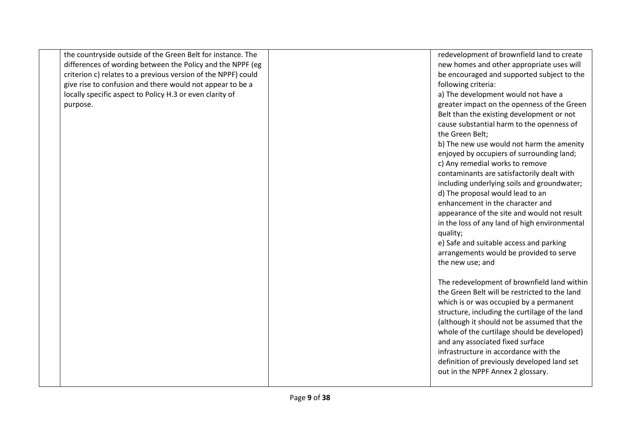| the countryside outside of the Green Belt for instance. The<br>differences of wording between the Policy and the NPPF (eg | redevelopment of brownfield land to create<br>new homes and other appropriate uses will |
|---------------------------------------------------------------------------------------------------------------------------|-----------------------------------------------------------------------------------------|
|                                                                                                                           |                                                                                         |
| criterion c) relates to a previous version of the NPPF) could                                                             | be encouraged and supported subject to the                                              |
| give rise to confusion and there would not appear to be a                                                                 | following criteria:                                                                     |
| locally specific aspect to Policy H.3 or even clarity of                                                                  | a) The development would not have a                                                     |
| purpose.                                                                                                                  | greater impact on the openness of the Green                                             |
|                                                                                                                           | Belt than the existing development or not                                               |
|                                                                                                                           | cause substantial harm to the openness of                                               |
|                                                                                                                           | the Green Belt;                                                                         |
|                                                                                                                           | b) The new use would not harm the amenity                                               |
|                                                                                                                           | enjoyed by occupiers of surrounding land;                                               |
|                                                                                                                           | c) Any remedial works to remove                                                         |
|                                                                                                                           | contaminants are satisfactorily dealt with                                              |
|                                                                                                                           | including underlying soils and groundwater;                                             |
|                                                                                                                           | d) The proposal would lead to an                                                        |
|                                                                                                                           | enhancement in the character and                                                        |
|                                                                                                                           | appearance of the site and would not result                                             |
|                                                                                                                           | in the loss of any land of high environmental                                           |
|                                                                                                                           | quality;                                                                                |
|                                                                                                                           | e) Safe and suitable access and parking                                                 |
|                                                                                                                           | arrangements would be provided to serve                                                 |
|                                                                                                                           | the new use; and                                                                        |
|                                                                                                                           |                                                                                         |
|                                                                                                                           | The redevelopment of brownfield land within                                             |
|                                                                                                                           | the Green Belt will be restricted to the land                                           |
|                                                                                                                           | which is or was occupied by a permanent                                                 |
|                                                                                                                           | structure, including the curtilage of the land                                          |
|                                                                                                                           | (although it should not be assumed that the                                             |
|                                                                                                                           | whole of the curtilage should be developed)                                             |
|                                                                                                                           | and any associated fixed surface                                                        |
|                                                                                                                           | infrastructure in accordance with the                                                   |
|                                                                                                                           | definition of previously developed land set                                             |
|                                                                                                                           | out in the NPPF Annex 2 glossary.                                                       |
|                                                                                                                           |                                                                                         |
|                                                                                                                           |                                                                                         |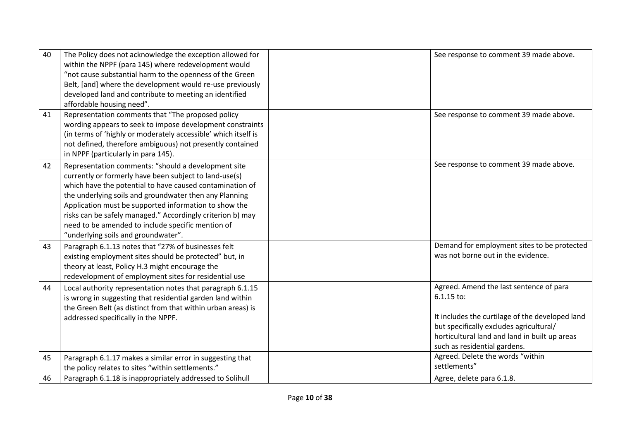| 40 | The Policy does not acknowledge the exception allowed for<br>within the NPPF (para 145) where redevelopment would<br>"not cause substantial harm to the openness of the Green<br>Belt, [and] where the development would re-use previously<br>developed land and contribute to meeting an identified<br>affordable housing need".                                                                                                                      | See response to comment 39 made above.                                                                                                                                                                                                 |
|----|--------------------------------------------------------------------------------------------------------------------------------------------------------------------------------------------------------------------------------------------------------------------------------------------------------------------------------------------------------------------------------------------------------------------------------------------------------|----------------------------------------------------------------------------------------------------------------------------------------------------------------------------------------------------------------------------------------|
| 41 | Representation comments that "The proposed policy<br>wording appears to seek to impose development constraints<br>(in terms of 'highly or moderately accessible' which itself is<br>not defined, therefore ambiguous) not presently contained<br>in NPPF (particularly in para 145).                                                                                                                                                                   | See response to comment 39 made above.                                                                                                                                                                                                 |
| 42 | Representation comments: "should a development site<br>currently or formerly have been subject to land-use(s)<br>which have the potential to have caused contamination of<br>the underlying soils and groundwater then any Planning<br>Application must be supported information to show the<br>risks can be safely managed." Accordingly criterion b) may<br>need to be amended to include specific mention of<br>"underlying soils and groundwater". | See response to comment 39 made above.                                                                                                                                                                                                 |
| 43 | Paragraph 6.1.13 notes that "27% of businesses felt<br>existing employment sites should be protected" but, in<br>theory at least, Policy H.3 might encourage the<br>redevelopment of employment sites for residential use                                                                                                                                                                                                                              | Demand for employment sites to be protected<br>was not borne out in the evidence.                                                                                                                                                      |
| 44 | Local authority representation notes that paragraph 6.1.15<br>is wrong in suggesting that residential garden land within<br>the Green Belt (as distinct from that within urban areas) is<br>addressed specifically in the NPPF.                                                                                                                                                                                                                        | Agreed. Amend the last sentence of para<br>$6.1.15$ to:<br>It includes the curtilage of the developed land<br>but specifically excludes agricultural/<br>horticultural land and land in built up areas<br>such as residential gardens. |
| 45 | Paragraph 6.1.17 makes a similar error in suggesting that<br>the policy relates to sites "within settlements."                                                                                                                                                                                                                                                                                                                                         | Agreed. Delete the words "within<br>settlements"                                                                                                                                                                                       |
| 46 | Paragraph 6.1.18 is inappropriately addressed to Solihull                                                                                                                                                                                                                                                                                                                                                                                              | Agree, delete para 6.1.8.                                                                                                                                                                                                              |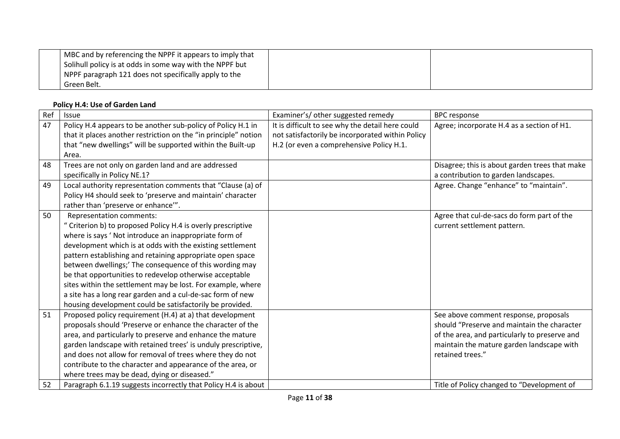| MBC and by referencing the NPPF it appears to imply that<br>Solihull policy is at odds in some way with the NPPF but |  |
|----------------------------------------------------------------------------------------------------------------------|--|
| NPPF paragraph 121 does not specifically apply to the                                                                |  |
| Green Belt.                                                                                                          |  |

### **Policy H.4: Use of Garden Land**

 $\perp$ 

| Ref | Issue                                                           | Examiner's/ other suggested remedy               | <b>BPC response</b>                            |
|-----|-----------------------------------------------------------------|--------------------------------------------------|------------------------------------------------|
| 47  | Policy H.4 appears to be another sub-policy of Policy H.1 in    | It is difficult to see why the detail here could | Agree; incorporate H.4 as a section of H1.     |
|     | that it places another restriction on the "in principle" notion | not satisfactorily be incorporated within Policy |                                                |
|     | that "new dwellings" will be supported within the Built-up      | H.2 (or even a comprehensive Policy H.1.         |                                                |
|     | Area.                                                           |                                                  |                                                |
| 48  | Trees are not only on garden land and are addressed             |                                                  | Disagree; this is about garden trees that make |
|     | specifically in Policy NE.1?                                    |                                                  | a contribution to garden landscapes.           |
| 49  | Local authority representation comments that "Clause (a) of     |                                                  | Agree. Change "enhance" to "maintain".         |
|     | Policy H4 should seek to 'preserve and maintain' character      |                                                  |                                                |
|     | rather than 'preserve or enhance'".                             |                                                  |                                                |
| 50  | Representation comments:                                        |                                                  | Agree that cul-de-sacs do form part of the     |
|     | " Criterion b) to proposed Policy H.4 is overly prescriptive    |                                                  | current settlement pattern.                    |
|     | where is says ' Not introduce an inappropriate form of          |                                                  |                                                |
|     | development which is at odds with the existing settlement       |                                                  |                                                |
|     | pattern establishing and retaining appropriate open space       |                                                  |                                                |
|     | between dwellings;' The consequence of this wording may         |                                                  |                                                |
|     | be that opportunities to redevelop otherwise acceptable         |                                                  |                                                |
|     | sites within the settlement may be lost. For example, where     |                                                  |                                                |
|     | a site has a long rear garden and a cul-de-sac form of new      |                                                  |                                                |
|     | housing development could be satisfactorily be provided.        |                                                  |                                                |
| 51  | Proposed policy requirement (H.4) at a) that development        |                                                  | See above comment response, proposals          |
|     | proposals should 'Preserve or enhance the character of the      |                                                  | should "Preserve and maintain the character    |
|     | area, and particularly to preserve and enhance the mature       |                                                  | of the area, and particularly to preserve and  |
|     | garden landscape with retained trees' is unduly prescriptive,   |                                                  | maintain the mature garden landscape with      |
|     | and does not allow for removal of trees where they do not       |                                                  | retained trees."                               |
|     | contribute to the character and appearance of the area, or      |                                                  |                                                |
|     | where trees may be dead, dying or diseased."                    |                                                  |                                                |
| 52  | Paragraph 6.1.19 suggests incorrectly that Policy H.4 is about  |                                                  | Title of Policy changed to "Development of     |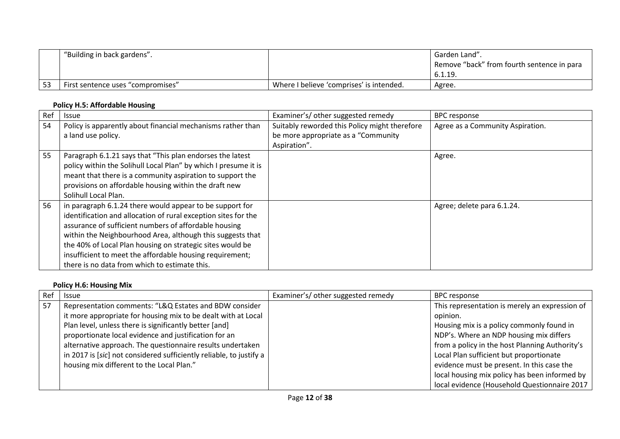|    | "Building in back gardens".       |                                          | Garden Land".<br>Remove "back" from fourth sentence in para<br>6.1.19. |
|----|-----------------------------------|------------------------------------------|------------------------------------------------------------------------|
| 53 | First sentence uses "compromises" | Where I believe 'comprises' is intended. | Agree.                                                                 |

### **Policy H.5: Affordable Housing**

| Ref | Issue                                                           | Examiner's/ other suggested remedy            | <b>BPC response</b>              |
|-----|-----------------------------------------------------------------|-----------------------------------------------|----------------------------------|
| 54  | Policy is apparently about financial mechanisms rather than     | Suitably reworded this Policy might therefore | Agree as a Community Aspiration. |
|     | a land use policy.                                              | be more appropriate as a "Community"          |                                  |
|     |                                                                 | Aspiration".                                  |                                  |
| 55  | Paragraph 6.1.21 says that "This plan endorses the latest       |                                               | Agree.                           |
|     | policy within the Solihull Local Plan" by which I presume it is |                                               |                                  |
|     | meant that there is a community aspiration to support the       |                                               |                                  |
|     | provisions on affordable housing within the draft new           |                                               |                                  |
|     | Solihull Local Plan.                                            |                                               |                                  |
| 56  | in paragraph 6.1.24 there would appear to be support for        |                                               | Agree; delete para 6.1.24.       |
|     | identification and allocation of rural exception sites for the  |                                               |                                  |
|     | assurance of sufficient numbers of affordable housing           |                                               |                                  |
|     | within the Neighbourhood Area, although this suggests that      |                                               |                                  |
|     | the 40% of Local Plan housing on strategic sites would be       |                                               |                                  |
|     | insufficient to meet the affordable housing requirement;        |                                               |                                  |
|     | there is no data from which to estimate this.                   |                                               |                                  |

## **Policy H.6: Housing Mix**

| Ref | <b>Issue</b>                                                        | Examiner's/ other suggested remedy | <b>BPC</b> response                            |
|-----|---------------------------------------------------------------------|------------------------------------|------------------------------------------------|
| 57  | Representation comments: "L&Q Estates and BDW consider              |                                    | This representation is merely an expression of |
|     | it more appropriate for housing mix to be dealt with at Local       |                                    | opinion.                                       |
|     | Plan level, unless there is significantly better [and]              |                                    | Housing mix is a policy commonly found in      |
|     | proportionate local evidence and justification for an               |                                    | NDP's. Where an NDP housing mix differs        |
|     | alternative approach. The questionnaire results undertaken          |                                    | from a policy in the host Planning Authority's |
|     | in 2017 is [sic] not considered sufficiently reliable, to justify a |                                    | Local Plan sufficient but proportionate        |
|     | housing mix different to the Local Plan."                           |                                    | evidence must be present. In this case the     |
|     |                                                                     |                                    | local housing mix policy has been informed by  |
|     |                                                                     |                                    | local evidence (Household Questionnaire 2017   |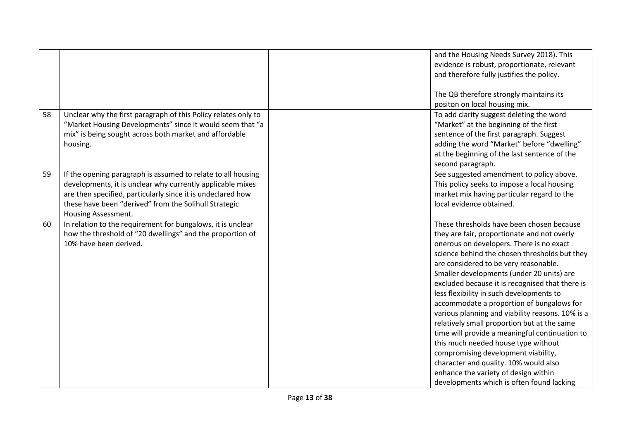|    |                                                                | and the Housing Needs Survey 2018). This         |
|----|----------------------------------------------------------------|--------------------------------------------------|
|    |                                                                | evidence is robust, proportionate, relevant      |
|    |                                                                | and therefore fully justifies the policy.        |
|    |                                                                |                                                  |
|    |                                                                | The QB therefore strongly maintains its          |
|    |                                                                | positon on local housing mix.                    |
| 58 | Unclear why the first paragraph of this Policy relates only to | To add clarity suggest deleting the word         |
|    | "Market Housing Developments" since it would seem that "a      | "Market" at the beginning of the first           |
|    | mix" is being sought across both market and affordable         | sentence of the first paragraph. Suggest         |
|    | housing.                                                       | adding the word "Market" before "dwelling"       |
|    |                                                                | at the beginning of the last sentence of the     |
|    |                                                                | second paragraph.                                |
| 59 | If the opening paragraph is assumed to relate to all housing   | See suggested amendment to policy above.         |
|    | developments, it is unclear why currently applicable mixes     | This policy seeks to impose a local housing      |
|    | are then specified, particularly since it is undeclared how    | market mix having particular regard to the       |
|    | these have been "derived" from the Solihull Strategic          | local evidence obtained.                         |
|    | Housing Assessment.                                            |                                                  |
| 60 | In relation to the requirement for bungalows, it is unclear    | These thresholds have been chosen because        |
|    | how the threshold of "20 dwellings" and the proportion of      | they are fair, proportionate and not overly      |
|    | 10% have been derived.                                         | onerous on developers. There is no exact         |
|    |                                                                | science behind the chosen thresholds but they    |
|    |                                                                | are considered to be very reasonable.            |
|    |                                                                | Smaller developments (under 20 units) are        |
|    |                                                                | excluded because it is recognised that there is  |
|    |                                                                | less flexibility in such developments to         |
|    |                                                                | accommodate a proportion of bungalows for        |
|    |                                                                | various planning and viability reasons. 10% is a |
|    |                                                                | relatively small proportion but at the same      |
|    |                                                                | time will provide a meaningful continuation to   |
|    |                                                                | this much needed house type without              |
|    |                                                                | compromising development viability,              |
|    |                                                                | character and quality. 10% would also            |
|    |                                                                | enhance the variety of design within             |
|    |                                                                | developments which is often found lacking        |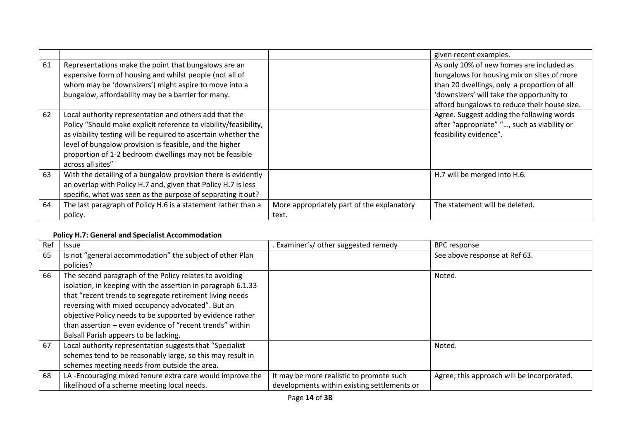|    |                                                                                                                                                                                                                                                                                                                                         |                                                     | given recent examples.                                                                                                                                                                                                             |
|----|-----------------------------------------------------------------------------------------------------------------------------------------------------------------------------------------------------------------------------------------------------------------------------------------------------------------------------------------|-----------------------------------------------------|------------------------------------------------------------------------------------------------------------------------------------------------------------------------------------------------------------------------------------|
| 61 | Representations make the point that bungalows are an<br>expensive form of housing and whilst people (not all of<br>whom may be 'downsizers') might aspire to move into a<br>bungalow, affordability may be a barrier for many.                                                                                                          |                                                     | As only 10% of new homes are included as<br>bungalows for housing mix on sites of more<br>than 20 dwellings, only a proportion of all<br>'downsizers' will take the opportunity to<br>afford bungalows to reduce their house size. |
| 62 | Local authority representation and others add that the<br>Policy "Should make explicit reference to viability/feasibility,<br>as viability testing will be required to ascertain whether the<br>level of bungalow provision is feasible, and the higher<br>proportion of 1-2 bedroom dwellings may not be feasible<br>across all sites" |                                                     | Agree. Suggest adding the following words<br>after "appropriate" ", such as viability or<br>feasibility evidence".                                                                                                                 |
| 63 | With the detailing of a bungalow provision there is evidently<br>an overlap with Policy H.7 and, given that Policy H.7 is less<br>specific, what was seen as the purpose of separating it out?                                                                                                                                          |                                                     | H.7 will be merged into H.6.                                                                                                                                                                                                       |
| 64 | The last paragraph of Policy H.6 is a statement rather than a<br>policy.                                                                                                                                                                                                                                                                | More appropriately part of the explanatory<br>text. | The statement will be deleted.                                                                                                                                                                                                     |

## **Policy H.7: General and Specialist Accommodation**

| Ref | <b>Issue</b>                                                 | Examiner's/ other suggested remedy          | <b>BPC response</b>                        |
|-----|--------------------------------------------------------------|---------------------------------------------|--------------------------------------------|
| 65  | Is not "general accommodation" the subject of other Plan     |                                             | See above response at Ref 63.              |
|     | policies?                                                    |                                             |                                            |
| 66  | The second paragraph of the Policy relates to avoiding       |                                             | Noted.                                     |
|     | isolation, in keeping with the assertion in paragraph 6.1.33 |                                             |                                            |
|     | that "recent trends to segregate retirement living needs     |                                             |                                            |
|     | reversing with mixed occupancy advocated". But an            |                                             |                                            |
|     | objective Policy needs to be supported by evidence rather    |                                             |                                            |
|     | than assertion – even evidence of "recent trends" within     |                                             |                                            |
|     | Balsall Parish appears to be lacking.                        |                                             |                                            |
| 67  | Local authority representation suggests that "Specialist     |                                             | Noted.                                     |
|     | schemes tend to be reasonably large, so this may result in   |                                             |                                            |
|     | schemes meeting needs from outside the area.                 |                                             |                                            |
| 68  | LA-Encouraging mixed tenure extra care would improve the     | It may be more realistic to promote such    | Agree; this approach will be incorporated. |
|     | likelihood of a scheme meeting local needs.                  | developments within existing settlements or |                                            |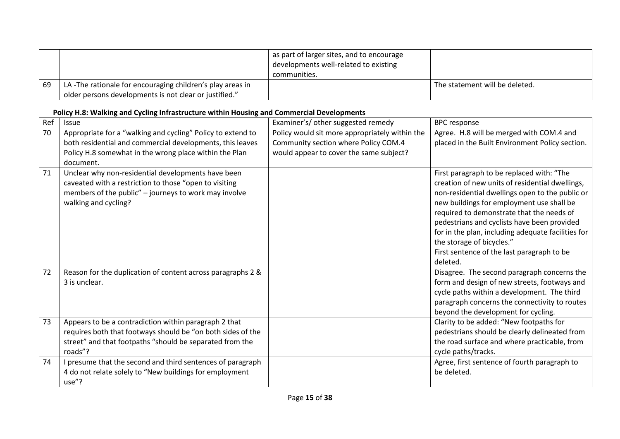|    |                                                           | as part of larger sites, and to encourage<br>developments well-related to existing<br>communities. |                                |
|----|-----------------------------------------------------------|----------------------------------------------------------------------------------------------------|--------------------------------|
| 69 | LA-The rationale for encouraging children's play areas in |                                                                                                    | The statement will be deleted. |
|    | older persons developments is not clear or justified."    |                                                                                                    |                                |

# **Policy H.8: Walking and Cycling Infrastructure within Housing and Commercial Developments**

| Ref | <b>Issue</b>                                                | Examiner's/ other suggested remedy             | <b>BPC</b> response                                |
|-----|-------------------------------------------------------------|------------------------------------------------|----------------------------------------------------|
| 70  | Appropriate for a "walking and cycling" Policy to extend to | Policy would sit more appropriately within the | Agree. H.8 will be merged with COM.4 and           |
|     | both residential and commercial developments, this leaves   | Community section where Policy COM.4           | placed in the Built Environment Policy section.    |
|     | Policy H.8 somewhat in the wrong place within the Plan      | would appear to cover the same subject?        |                                                    |
|     | document.                                                   |                                                |                                                    |
| 71  | Unclear why non-residential developments have been          |                                                | First paragraph to be replaced with: "The          |
|     | caveated with a restriction to those "open to visiting      |                                                | creation of new units of residential dwellings,    |
|     | members of the public" - journeys to work may involve       |                                                | non-residential dwellings open to the public or    |
|     | walking and cycling?                                        |                                                | new buildings for employment use shall be          |
|     |                                                             |                                                | required to demonstrate that the needs of          |
|     |                                                             |                                                | pedestrians and cyclists have been provided        |
|     |                                                             |                                                | for in the plan, including adequate facilities for |
|     |                                                             |                                                | the storage of bicycles."                          |
|     |                                                             |                                                | First sentence of the last paragraph to be         |
|     |                                                             |                                                | deleted.                                           |
| 72  | Reason for the duplication of content across paragraphs 2 & |                                                | Disagree. The second paragraph concerns the        |
|     | 3 is unclear.                                               |                                                | form and design of new streets, footways and       |
|     |                                                             |                                                | cycle paths within a development. The third        |
|     |                                                             |                                                | paragraph concerns the connectivity to routes      |
|     |                                                             |                                                | beyond the development for cycling.                |
| 73  | Appears to be a contradiction within paragraph 2 that       |                                                | Clarity to be added: "New footpaths for            |
|     | requires both that footways should be "on both sides of the |                                                | pedestrians should be clearly delineated from      |
|     | street" and that footpaths "should be separated from the    |                                                | the road surface and where practicable, from       |
|     | roads"?                                                     |                                                | cycle paths/tracks.                                |
| 74  | I presume that the second and third sentences of paragraph  |                                                | Agree, first sentence of fourth paragraph to       |
|     | 4 do not relate solely to "New buildings for employment     |                                                | be deleted.                                        |
|     | use"?                                                       |                                                |                                                    |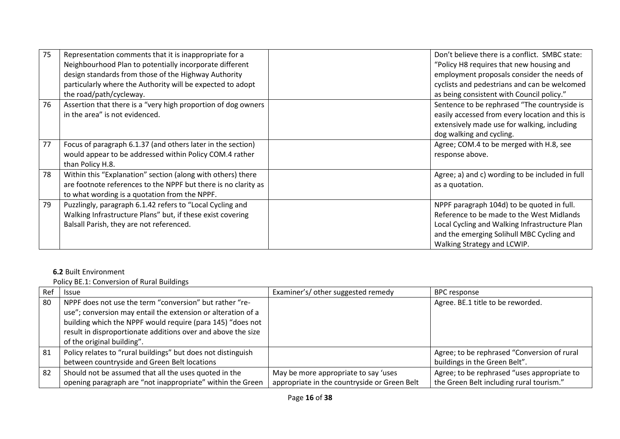| 75 | Representation comments that it is inappropriate for a         | Don't believe there is a conflict. SMBC state:  |
|----|----------------------------------------------------------------|-------------------------------------------------|
|    | Neighbourhood Plan to potentially incorporate different        | "Policy H8 requires that new housing and        |
|    | design standards from those of the Highway Authority           | employment proposals consider the needs of      |
|    | particularly where the Authority will be expected to adopt     | cyclists and pedestrians and can be welcomed    |
|    | the road/path/cycleway.                                        | as being consistent with Council policy."       |
| 76 | Assertion that there is a "very high proportion of dog owners  | Sentence to be rephrased "The countryside is    |
|    | in the area" is not evidenced.                                 | easily accessed from every location and this is |
|    |                                                                | extensively made use for walking, including     |
|    |                                                                | dog walking and cycling.                        |
| 77 | Focus of paragraph 6.1.37 (and others later in the section)    | Agree; COM.4 to be merged with H.8, see         |
|    | would appear to be addressed within Policy COM.4 rather        | response above.                                 |
|    | than Policy H.8.                                               |                                                 |
| 78 | Within this "Explanation" section (along with others) there    | Agree; a) and c) wording to be included in full |
|    | are footnote references to the NPPF but there is no clarity as | as a quotation.                                 |
|    | to what wording is a quotation from the NPPF.                  |                                                 |
| 79 | Puzzlingly, paragraph 6.1.42 refers to "Local Cycling and      | NPPF paragraph 104d) to be quoted in full.      |
|    | Walking Infrastructure Plans" but, if these exist covering     | Reference to be made to the West Midlands       |
|    | Balsall Parish, they are not referenced.                       | Local Cycling and Walking Infrastructure Plan   |
|    |                                                                | and the emerging Solihull MBC Cycling and       |
|    |                                                                | Walking Strategy and LCWIP.                     |

# **6.2** Built Environment

Policy BE.1: Conversion of Rural Buildings

| Ref | <b>Issue</b>                                                 | Examiner's/ other suggested remedy           | <b>BPC response</b>                         |
|-----|--------------------------------------------------------------|----------------------------------------------|---------------------------------------------|
| 80  | NPPF does not use the term "conversion" but rather "re-      |                                              | Agree. BE.1 title to be reworded.           |
|     | use"; conversion may entail the extension or alteration of a |                                              |                                             |
|     | building which the NPPF would require (para 145) "does not   |                                              |                                             |
|     | result in disproportionate additions over and above the size |                                              |                                             |
|     | of the original building".                                   |                                              |                                             |
| 81  | Policy relates to "rural buildings" but does not distinguish |                                              | Agree; to be rephrased "Conversion of rural |
|     | between countryside and Green Belt locations                 |                                              | buildings in the Green Belt".               |
| 82  | Should not be assumed that all the uses quoted in the        | May be more appropriate to say 'uses         | Agree; to be rephrased "uses appropriate to |
|     | opening paragraph are "not inappropriate" within the Green   | appropriate in the countryside or Green Belt | the Green Belt including rural tourism."    |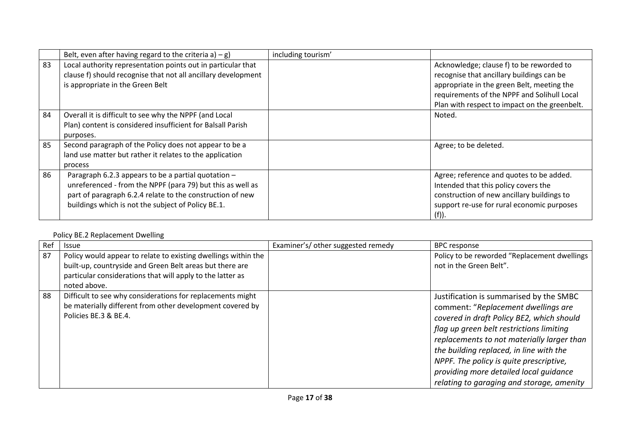|    | Belt, even after having regard to the criteria a) $-g$ )                                                                                                                                                                             | including tourism' |                                                                                                                                                                                                                                     |
|----|--------------------------------------------------------------------------------------------------------------------------------------------------------------------------------------------------------------------------------------|--------------------|-------------------------------------------------------------------------------------------------------------------------------------------------------------------------------------------------------------------------------------|
| 83 | Local authority representation points out in particular that<br>clause f) should recognise that not all ancillary development<br>is appropriate in the Green Belt                                                                    |                    | Acknowledge; clause f) to be reworded to<br>recognise that ancillary buildings can be<br>appropriate in the green Belt, meeting the<br>requirements of the NPPF and Solihull Local<br>Plan with respect to impact on the greenbelt. |
| 84 | Overall it is difficult to see why the NPPF (and Local<br>Plan) content is considered insufficient for Balsall Parish<br>purposes.                                                                                                   |                    | Noted.                                                                                                                                                                                                                              |
| 85 | Second paragraph of the Policy does not appear to be a<br>land use matter but rather it relates to the application<br>process                                                                                                        |                    | Agree; to be deleted.                                                                                                                                                                                                               |
| 86 | Paragraph 6.2.3 appears to be a partial quotation -<br>unreferenced - from the NPPF (para 79) but this as well as<br>part of paragraph 6.2.4 relate to the construction of new<br>buildings which is not the subject of Policy BE.1. |                    | Agree; reference and quotes to be added.<br>Intended that this policy covers the<br>construction of new ancillary buildings to<br>support re-use for rural economic purposes<br>(f)).                                               |

## Policy BE.2 Replacement Dwelling

| Rei | <b>Issue</b>                                                                                                                                                                                             | Examiner's/ other suggested remedy | <b>BPC</b> response                                                                                                                                                                                                                                                                                                                                                                                |
|-----|----------------------------------------------------------------------------------------------------------------------------------------------------------------------------------------------------------|------------------------------------|----------------------------------------------------------------------------------------------------------------------------------------------------------------------------------------------------------------------------------------------------------------------------------------------------------------------------------------------------------------------------------------------------|
| 87  | Policy would appear to relate to existing dwellings within the<br>built-up, countryside and Green Belt areas but there are<br>particular considerations that will apply to the latter as<br>noted above. |                                    | Policy to be reworded "Replacement dwellings<br>not in the Green Belt".                                                                                                                                                                                                                                                                                                                            |
| 88  | Difficult to see why considerations for replacements might<br>be materially different from other development covered by<br>Policies BE.3 & BE.4.                                                         |                                    | Justification is summarised by the SMBC<br>comment: "Replacement dwellings are<br>covered in draft Policy BE2, which should<br>flag up green belt restrictions limiting<br>replacements to not materially larger than<br>the building replaced, in line with the<br>NPPF. The policy is quite prescriptive,<br>providing more detailed local quidance<br>relating to garaging and storage, amenity |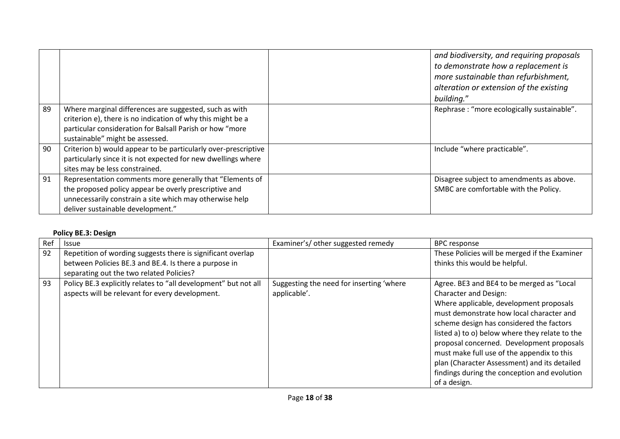|    |                                                                                                                                                                                                                      | and biodiversity, and requiring proposals<br>to demonstrate how a replacement is<br>more sustainable than refurbishment,<br>alteration or extension of the existing<br>building." |
|----|----------------------------------------------------------------------------------------------------------------------------------------------------------------------------------------------------------------------|-----------------------------------------------------------------------------------------------------------------------------------------------------------------------------------|
| 89 | Where marginal differences are suggested, such as with<br>criterion e), there is no indication of why this might be a<br>particular consideration for Balsall Parish or how "more<br>sustainable" might be assessed. | Rephrase: "more ecologically sustainable".                                                                                                                                        |
| 90 | Criterion b) would appear to be particularly over-prescriptive<br>particularly since it is not expected for new dwellings where<br>sites may be less constrained.                                                    | Include "where practicable".                                                                                                                                                      |
| 91 | Representation comments more generally that "Elements of<br>the proposed policy appear be overly prescriptive and<br>unnecessarily constrain a site which may otherwise help<br>deliver sustainable development."    | Disagree subject to amendments as above.<br>SMBC are comfortable with the Policy.                                                                                                 |

# **Policy BE.3: Design**

| Ref | <b>Issue</b>                                                                                                       | Examiner's/ other suggested remedy                       | <b>BPC</b> response                                                                                                                                                                                                                                                                                                                                                                                                                                                       |
|-----|--------------------------------------------------------------------------------------------------------------------|----------------------------------------------------------|---------------------------------------------------------------------------------------------------------------------------------------------------------------------------------------------------------------------------------------------------------------------------------------------------------------------------------------------------------------------------------------------------------------------------------------------------------------------------|
| 92  | Repetition of wording suggests there is significant overlap                                                        |                                                          | These Policies will be merged if the Examiner                                                                                                                                                                                                                                                                                                                                                                                                                             |
|     | between Policies BE.3 and BE.4. Is there a purpose in                                                              |                                                          | thinks this would be helpful.                                                                                                                                                                                                                                                                                                                                                                                                                                             |
|     | separating out the two related Policies?                                                                           |                                                          |                                                                                                                                                                                                                                                                                                                                                                                                                                                                           |
| 93  | Policy BE.3 explicitly relates to "all development" but not all<br>aspects will be relevant for every development. | Suggesting the need for inserting 'where<br>applicable'. | Agree. BE3 and BE4 to be merged as "Local<br><b>Character and Design:</b><br>Where applicable, development proposals<br>must demonstrate how local character and<br>scheme design has considered the factors<br>listed a) to o) below where they relate to the<br>proposal concerned. Development proposals<br>must make full use of the appendix to this<br>plan (Character Assessment) and its detailed<br>findings during the conception and evolution<br>of a design. |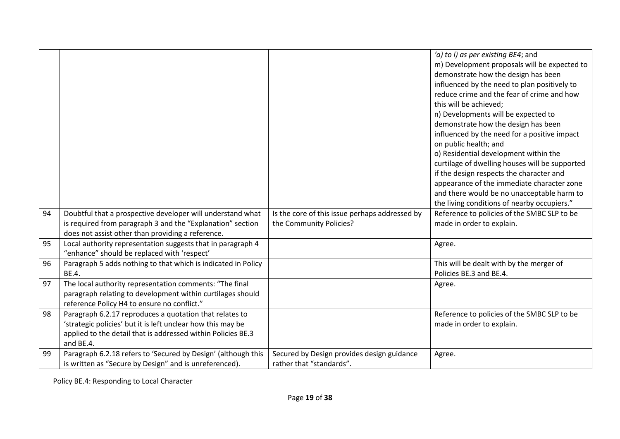|    |                                                                                                                             |                                                                        | 'a) to I) as per existing BE4; and<br>m) Development proposals will be expected to<br>demonstrate how the design has been<br>influenced by the need to plan positively to<br>reduce crime and the fear of crime and how<br>this will be achieved;<br>n) Developments will be expected to<br>demonstrate how the design has been<br>influenced by the need for a positive impact<br>on public health; and<br>o) Residential development within the<br>curtilage of dwelling houses will be supported<br>if the design respects the character and<br>appearance of the immediate character zone<br>and there would be no unacceptable harm to<br>the living conditions of nearby occupiers." |
|----|-----------------------------------------------------------------------------------------------------------------------------|------------------------------------------------------------------------|--------------------------------------------------------------------------------------------------------------------------------------------------------------------------------------------------------------------------------------------------------------------------------------------------------------------------------------------------------------------------------------------------------------------------------------------------------------------------------------------------------------------------------------------------------------------------------------------------------------------------------------------------------------------------------------------|
| 94 | Doubtful that a prospective developer will understand what                                                                  | Is the core of this issue perhaps addressed by                         | Reference to policies of the SMBC SLP to be                                                                                                                                                                                                                                                                                                                                                                                                                                                                                                                                                                                                                                                |
|    | is required from paragraph 3 and the "Explanation" section<br>does not assist other than providing a reference.             | the Community Policies?                                                | made in order to explain.                                                                                                                                                                                                                                                                                                                                                                                                                                                                                                                                                                                                                                                                  |
| 95 | Local authority representation suggests that in paragraph 4<br>"enhance" should be replaced with 'respect'                  |                                                                        | Agree.                                                                                                                                                                                                                                                                                                                                                                                                                                                                                                                                                                                                                                                                                     |
| 96 | Paragraph 5 adds nothing to that which is indicated in Policy<br>BE.4.                                                      |                                                                        | This will be dealt with by the merger of<br>Policies BE.3 and BE.4.                                                                                                                                                                                                                                                                                                                                                                                                                                                                                                                                                                                                                        |
| 97 | The local authority representation comments: "The final<br>paragraph relating to development within curtilages should       |                                                                        | Agree.                                                                                                                                                                                                                                                                                                                                                                                                                                                                                                                                                                                                                                                                                     |
|    | reference Policy H4 to ensure no conflict."                                                                                 |                                                                        |                                                                                                                                                                                                                                                                                                                                                                                                                                                                                                                                                                                                                                                                                            |
| 98 | Paragraph 6.2.17 reproduces a quotation that relates to                                                                     |                                                                        | Reference to policies of the SMBC SLP to be                                                                                                                                                                                                                                                                                                                                                                                                                                                                                                                                                                                                                                                |
|    | 'strategic policies' but it is left unclear how this may be<br>applied to the detail that is addressed within Policies BE.3 |                                                                        | made in order to explain.                                                                                                                                                                                                                                                                                                                                                                                                                                                                                                                                                                                                                                                                  |
|    | and BE.4.                                                                                                                   |                                                                        |                                                                                                                                                                                                                                                                                                                                                                                                                                                                                                                                                                                                                                                                                            |
| 99 | Paragraph 6.2.18 refers to 'Secured by Design' (although this<br>is written as "Secure by Design" and is unreferenced).     | Secured by Design provides design guidance<br>rather that "standards". | Agree.                                                                                                                                                                                                                                                                                                                                                                                                                                                                                                                                                                                                                                                                                     |

Policy BE.4: Responding to Local Character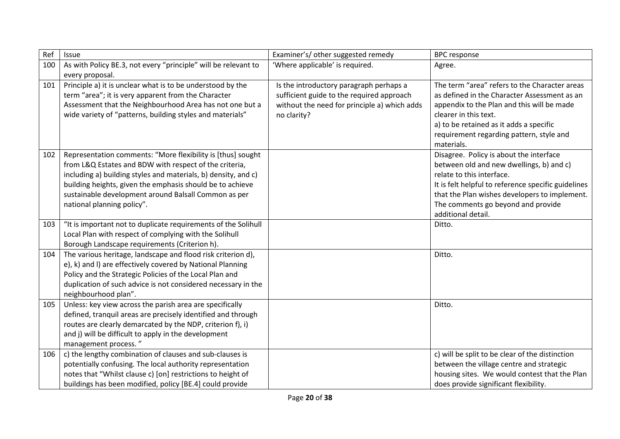| Ref | Issue                                                                                                                                                                                                                                                                                                                                      | Examiner's/ other suggested remedy                                                                                                                  | <b>BPC</b> response                                                                                                                                                                                                                                                                  |
|-----|--------------------------------------------------------------------------------------------------------------------------------------------------------------------------------------------------------------------------------------------------------------------------------------------------------------------------------------------|-----------------------------------------------------------------------------------------------------------------------------------------------------|--------------------------------------------------------------------------------------------------------------------------------------------------------------------------------------------------------------------------------------------------------------------------------------|
| 100 | As with Policy BE.3, not every "principle" will be relevant to<br>every proposal.                                                                                                                                                                                                                                                          | 'Where applicable' is required.                                                                                                                     | Agree.                                                                                                                                                                                                                                                                               |
| 101 | Principle a) it is unclear what is to be understood by the<br>term "area"; it is very apparent from the Character<br>Assessment that the Neighbourhood Area has not one but a<br>wide variety of "patterns, building styles and materials"                                                                                                 | Is the introductory paragraph perhaps a<br>sufficient guide to the required approach<br>without the need for principle a) which adds<br>no clarity? | The term "area" refers to the Character areas<br>as defined in the Character Assessment as an<br>appendix to the Plan and this will be made<br>clearer in this text.<br>a) to be retained as it adds a specific<br>requirement regarding pattern, style and<br>materials.            |
| 102 | Representation comments: "More flexibility is [thus] sought<br>from L&Q Estates and BDW with respect of the criteria,<br>including a) building styles and materials, b) density, and c)<br>building heights, given the emphasis should be to achieve<br>sustainable development around Balsall Common as per<br>national planning policy". |                                                                                                                                                     | Disagree. Policy is about the interface<br>between old and new dwellings, b) and c)<br>relate to this interface.<br>It is felt helpful to reference specific guidelines<br>that the Plan wishes developers to implement.<br>The comments go beyond and provide<br>additional detail. |
| 103 | "It is important not to duplicate requirements of the Solihull<br>Local Plan with respect of complying with the Solihull<br>Borough Landscape requirements (Criterion h).                                                                                                                                                                  |                                                                                                                                                     | Ditto.                                                                                                                                                                                                                                                                               |
| 104 | The various heritage, landscape and flood risk criterion d),<br>e), k) and I) are effectively covered by National Planning<br>Policy and the Strategic Policies of the Local Plan and<br>duplication of such advice is not considered necessary in the<br>neighbourhood plan".                                                             |                                                                                                                                                     | Ditto.                                                                                                                                                                                                                                                                               |
| 105 | Unless: key view across the parish area are specifically<br>defined, tranquil areas are precisely identified and through<br>routes are clearly demarcated by the NDP, criterion f), i)<br>and j) will be difficult to apply in the development<br>management process."                                                                     |                                                                                                                                                     | Ditto.                                                                                                                                                                                                                                                                               |
| 106 | c) the lengthy combination of clauses and sub-clauses is<br>potentially confusing. The local authority representation<br>notes that "Whilst clause c) [on] restrictions to height of<br>buildings has been modified, policy [BE.4] could provide                                                                                           |                                                                                                                                                     | c) will be split to be clear of the distinction<br>between the village centre and strategic<br>housing sites. We would contest that the Plan<br>does provide significant flexibility.                                                                                                |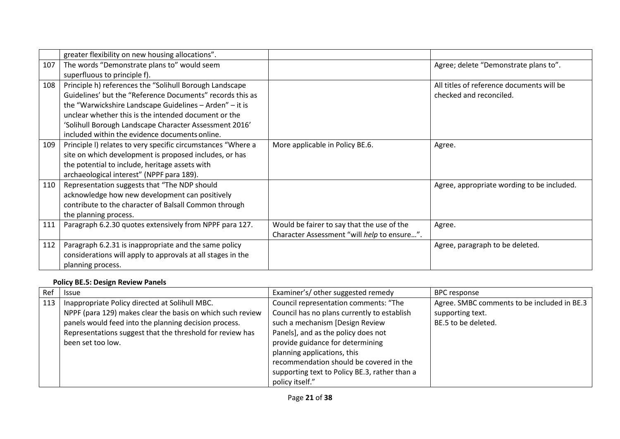|     | greater flexibility on new housing allocations".             |                                             |                                            |
|-----|--------------------------------------------------------------|---------------------------------------------|--------------------------------------------|
| 107 | The words "Demonstrate plans to" would seem                  |                                             | Agree; delete "Demonstrate plans to".      |
|     | superfluous to principle f).                                 |                                             |                                            |
| 108 | Principle h) references the "Solihull Borough Landscape      |                                             | All titles of reference documents will be  |
|     | Guidelines' but the "Reference Documents" records this as    |                                             | checked and reconciled.                    |
|     | the "Warwickshire Landscape Guidelines - Arden" - it is      |                                             |                                            |
|     | unclear whether this is the intended document or the         |                                             |                                            |
|     | 'Solihull Borough Landscape Character Assessment 2016'       |                                             |                                            |
|     | included within the evidence documents online.               |                                             |                                            |
| 109 | Principle I) relates to very specific circumstances "Where a | More applicable in Policy BE.6.             | Agree.                                     |
|     | site on which development is proposed includes, or has       |                                             |                                            |
|     | the potential to include, heritage assets with               |                                             |                                            |
|     | archaeological interest" (NPPF para 189).                    |                                             |                                            |
| 110 | Representation suggests that "The NDP should                 |                                             | Agree, appropriate wording to be included. |
|     | acknowledge how new development can positively               |                                             |                                            |
|     | contribute to the character of Balsall Common through        |                                             |                                            |
|     | the planning process.                                        |                                             |                                            |
| 111 | Paragraph 6.2.30 quotes extensively from NPPF para 127.      | Would be fairer to say that the use of the  | Agree.                                     |
|     |                                                              | Character Assessment "will help to ensure". |                                            |
| 112 | Paragraph 6.2.31 is inappropriate and the same policy        |                                             | Agree, paragraph to be deleted.            |
|     | considerations will apply to approvals at all stages in the  |                                             |                                            |
|     | planning process.                                            |                                             |                                            |

# **Policy BE.5: Design Review Panels**

| Ref | <b>Issue</b>                                               | Examiner's/ other suggested remedy            | BPC response                                |
|-----|------------------------------------------------------------|-----------------------------------------------|---------------------------------------------|
| 113 | Inappropriate Policy directed at Solihull MBC.             | Council representation comments: "The         | Agree. SMBC comments to be included in BE.3 |
|     | NPPF (para 129) makes clear the basis on which such review | Council has no plans currently to establish   | supporting text.                            |
|     | panels would feed into the planning decision process.      | such a mechanism [Design Review               | BE.5 to be deleted.                         |
|     | Representations suggest that the threshold for review has  | Panels], and as the policy does not           |                                             |
|     | been set too low.                                          | provide guidance for determining              |                                             |
|     |                                                            | planning applications, this                   |                                             |
|     |                                                            | recommendation should be covered in the       |                                             |
|     |                                                            | supporting text to Policy BE.3, rather than a |                                             |
|     |                                                            | policy itself."                               |                                             |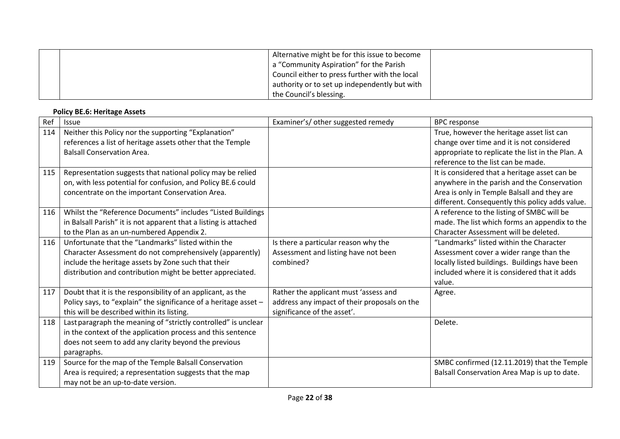| Alternative might be for this issue to become<br>a "Community Aspiration" for the Parish |  |
|------------------------------------------------------------------------------------------|--|
| Council either to press further with the local                                           |  |
| authority or to set up independently but with                                            |  |
| the Council's blessing.                                                                  |  |

# **Policy BE.6: Heritage Assets**

| Ref | <b>Issue</b>                                                     | Examiner's/ other suggested remedy           | <b>BPC response</b>                              |
|-----|------------------------------------------------------------------|----------------------------------------------|--------------------------------------------------|
| 114 | Neither this Policy nor the supporting "Explanation"             |                                              | True, however the heritage asset list can        |
|     | references a list of heritage assets other that the Temple       |                                              | change over time and it is not considered        |
|     | <b>Balsall Conservation Area.</b>                                |                                              | appropriate to replicate the list in the Plan. A |
|     |                                                                  |                                              | reference to the list can be made.               |
| 115 | Representation suggests that national policy may be relied       |                                              | It is considered that a heritage asset can be    |
|     | on, with less potential for confusion, and Policy BE.6 could     |                                              | anywhere in the parish and the Conservation      |
|     | concentrate on the important Conservation Area.                  |                                              | Area is only in Temple Balsall and they are      |
|     |                                                                  |                                              | different. Consequently this policy adds value.  |
| 116 | Whilst the "Reference Documents" includes "Listed Buildings      |                                              | A reference to the listing of SMBC will be       |
|     | in Balsall Parish" it is not apparent that a listing is attached |                                              | made. The list which forms an appendix to the    |
|     | to the Plan as an un-numbered Appendix 2.                        |                                              | Character Assessment will be deleted.            |
| 116 | Unfortunate that the "Landmarks" listed within the               | Is there a particular reason why the         | "Landmarks" listed within the Character          |
|     | Character Assessment do not comprehensively (apparently)         | Assessment and listing have not been         | Assessment cover a wider range than the          |
|     | include the heritage assets by Zone such that their              | combined?                                    | locally listed buildings. Buildings have been    |
|     | distribution and contribution might be better appreciated.       |                                              | included where it is considered that it adds     |
|     |                                                                  |                                              | value.                                           |
| 117 | Doubt that it is the responsibility of an applicant, as the      | Rather the applicant must 'assess and        | Agree.                                           |
|     | Policy says, to "explain" the significance of a heritage asset - | address any impact of their proposals on the |                                                  |
|     | this will be described within its listing.                       | significance of the asset'.                  |                                                  |
| 118 | Last paragraph the meaning of "strictly controlled" is unclear   |                                              | Delete.                                          |
|     | in the context of the application process and this sentence      |                                              |                                                  |
|     | does not seem to add any clarity beyond the previous             |                                              |                                                  |
|     | paragraphs.                                                      |                                              |                                                  |
| 119 | Source for the map of the Temple Balsall Conservation            |                                              | SMBC confirmed (12.11.2019) that the Temple      |
|     | Area is required; a representation suggests that the map         |                                              | Balsall Conservation Area Map is up to date.     |
|     | may not be an up-to-date version.                                |                                              |                                                  |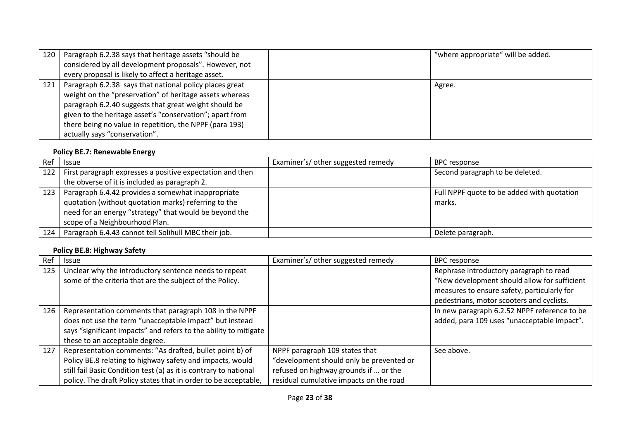| 120 | Paragraph 6.2.38 says that heritage assets "should be<br>considered by all development proposals". However, not<br>every proposal is likely to affect a heritage asset.                                                                                                                                                             | "where appropriate" will be added. |
|-----|-------------------------------------------------------------------------------------------------------------------------------------------------------------------------------------------------------------------------------------------------------------------------------------------------------------------------------------|------------------------------------|
| 121 | Paragraph 6.2.38 says that national policy places great<br>weight on the "preservation" of heritage assets whereas<br>paragraph 6.2.40 suggests that great weight should be<br>given to the heritage asset's "conservation"; apart from<br>there being no value in repetition, the NPPF (para 193)<br>actually says "conservation". | Agree.                             |

## **Policy BE.7: Renewable Energy**

| Ref | <b>Issue</b>                                                    | Examiner's/other suggested remedy | <b>BPC</b> response                        |
|-----|-----------------------------------------------------------------|-----------------------------------|--------------------------------------------|
|     | 122   First paragraph expresses a positive expectation and then |                                   | Second paragraph to be deleted.            |
|     | the obverse of it is included as paragraph 2.                   |                                   |                                            |
| 123 | Paragraph 6.4.42 provides a somewhat inappropriate              |                                   | Full NPPF quote to be added with quotation |
|     | quotation (without quotation marks) referring to the            |                                   | marks.                                     |
|     | need for an energy "strategy" that would be beyond the          |                                   |                                            |
|     | scope of a Neighbourhood Plan.                                  |                                   |                                            |
| 124 | Paragraph 6.4.43 cannot tell Solihull MBC their job.            |                                   | Delete paragraph.                          |

# **Policy BE.8: Highway Safety**

| Ref | <b>Issue</b>                                                      | Examiner's/ other suggested remedy       | <b>BPC response</b>                          |
|-----|-------------------------------------------------------------------|------------------------------------------|----------------------------------------------|
| 125 | Unclear why the introductory sentence needs to repeat             |                                          | Rephrase introductory paragraph to read      |
|     | some of the criteria that are the subject of the Policy.          |                                          | "New development should allow for sufficient |
|     |                                                                   |                                          | measures to ensure safety, particularly for  |
|     |                                                                   |                                          | pedestrians, motor scooters and cyclists.    |
| 126 | Representation comments that paragraph 108 in the NPPF            |                                          | In new paragraph 6.2.52 NPPF reference to be |
|     | does not use the term "unacceptable impact" but instead           |                                          | added, para 109 uses "unacceptable impact".  |
|     | says "significant impacts" and refers to the ability to mitigate  |                                          |                                              |
|     | these to an acceptable degree.                                    |                                          |                                              |
| 127 | Representation comments: "As drafted, bullet point b) of          | NPPF paragraph 109 states that           | See above.                                   |
|     | Policy BE.8 relating to highway safety and impacts, would         | "development should only be prevented or |                                              |
|     | still fail Basic Condition test (a) as it is contrary to national | refused on highway grounds if  or the    |                                              |
|     | policy. The draft Policy states that in order to be acceptable,   | residual cumulative impacts on the road  |                                              |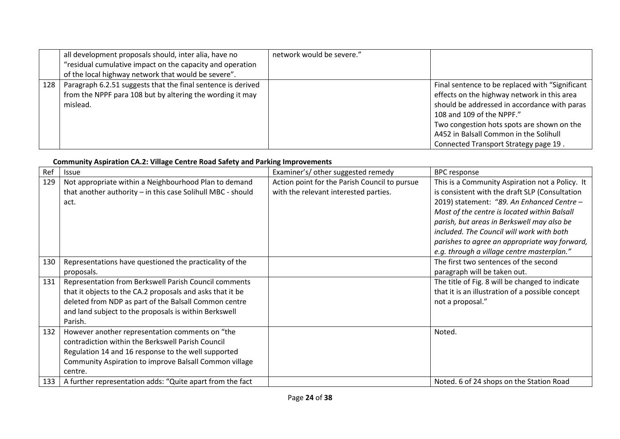|     | all development proposals should, inter alia, have no<br>"residual cumulative impact on the capacity and operation<br>of the local highway network that would be severe". | network would be severe." |                                                                                                                                                                                                                                                                                                               |
|-----|---------------------------------------------------------------------------------------------------------------------------------------------------------------------------|---------------------------|---------------------------------------------------------------------------------------------------------------------------------------------------------------------------------------------------------------------------------------------------------------------------------------------------------------|
| 128 | Paragraph 6.2.51 suggests that the final sentence is derived<br>from the NPPF para 108 but by altering the wording it may<br>mislead.                                     |                           | Final sentence to be replaced with "Significant"<br>effects on the highway network in this area<br>should be addressed in accordance with paras<br>108 and 109 of the NPPF."<br>Two congestion hots spots are shown on the<br>A452 in Balsall Common in the Solihull<br>Connected Transport Strategy page 19. |

## **Community Aspiration CA.2: Village Centre Road Safety and Parking Improvements**

| Ref | <b>Issue</b>                                                | Examiner's/ other suggested remedy            | <b>BPC response</b>                              |
|-----|-------------------------------------------------------------|-----------------------------------------------|--------------------------------------------------|
| 129 | Not appropriate within a Neighbourhood Plan to demand       | Action point for the Parish Council to pursue | This is a Community Aspiration not a Policy. It  |
|     | that another authority - in this case Solihull MBC - should | with the relevant interested parties.         | is consistent with the draft SLP (Consultation   |
|     | act.                                                        |                                               | 2019) statement: "89. An Enhanced Centre -       |
|     |                                                             |                                               | Most of the centre is located within Balsall     |
|     |                                                             |                                               | parish, but areas in Berkswell may also be       |
|     |                                                             |                                               | included. The Council will work with both        |
|     |                                                             |                                               | parishes to agree an appropriate way forward,    |
|     |                                                             |                                               | e.g. through a village centre masterplan."       |
| 130 | Representations have questioned the practicality of the     |                                               | The first two sentences of the second            |
|     | proposals.                                                  |                                               | paragraph will be taken out.                     |
| 131 | Representation from Berkswell Parish Council comments       |                                               | The title of Fig. 8 will be changed to indicate  |
|     | that it objects to the CA.2 proposals and asks that it be   |                                               | that it is an illustration of a possible concept |
|     | deleted from NDP as part of the Balsall Common centre       |                                               | not a proposal."                                 |
|     | and land subject to the proposals is within Berkswell       |                                               |                                                  |
|     | Parish.                                                     |                                               |                                                  |
| 132 | However another representation comments on "the             |                                               | Noted.                                           |
|     | contradiction within the Berkswell Parish Council           |                                               |                                                  |
|     | Regulation 14 and 16 response to the well supported         |                                               |                                                  |
|     | Community Aspiration to improve Balsall Common village      |                                               |                                                  |
|     | centre.                                                     |                                               |                                                  |
| 133 | A further representation adds: "Quite apart from the fact   |                                               | Noted. 6 of 24 shops on the Station Road         |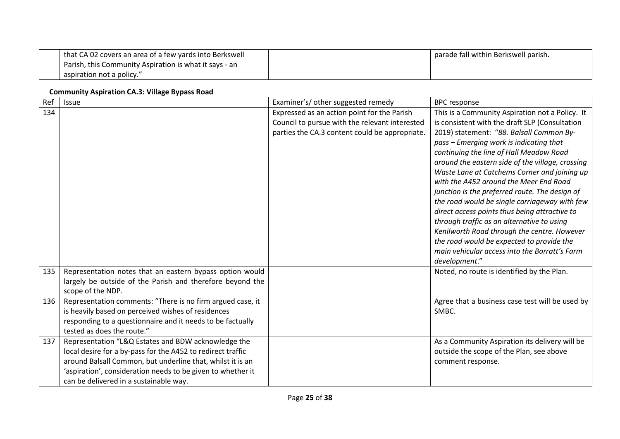| that CA 02 covers an area of a few yards into Berkswell | parade fall within Berkswell parish. |
|---------------------------------------------------------|--------------------------------------|
| Parish, this Community Aspiration is what it says - an  |                                      |
| aspiration not a policy."                               |                                      |

### **Community Aspiration CA.3: Village Bypass Road**

| Ref | Issue                                                       | Examiner's/ other suggested remedy             | <b>BPC</b> response                                                                       |
|-----|-------------------------------------------------------------|------------------------------------------------|-------------------------------------------------------------------------------------------|
| 134 |                                                             | Expressed as an action point for the Parish    | This is a Community Aspiration not a Policy. It                                           |
|     |                                                             | Council to pursue with the relevant interested | is consistent with the draft SLP (Consultation                                            |
|     |                                                             | parties the CA.3 content could be appropriate. | 2019) statement: "88. Balsall Common By-                                                  |
|     |                                                             |                                                | pass - Emerging work is indicating that                                                   |
|     |                                                             |                                                | continuing the line of Hall Meadow Road                                                   |
|     |                                                             |                                                | around the eastern side of the village, crossing                                          |
|     |                                                             |                                                | Waste Lane at Catchems Corner and joining up                                              |
|     |                                                             |                                                | with the A452 around the Meer End Road                                                    |
|     |                                                             |                                                | junction is the preferred route. The design of                                            |
|     |                                                             |                                                | the road would be single carriageway with few                                             |
|     |                                                             |                                                | direct access points thus being attractive to                                             |
|     |                                                             |                                                | through traffic as an alternative to using<br>Kenilworth Road through the centre. However |
|     |                                                             |                                                | the road would be expected to provide the                                                 |
|     |                                                             |                                                | main vehicular access into the Barratt's Farm                                             |
|     |                                                             |                                                | development."                                                                             |
| 135 | Representation notes that an eastern bypass option would    |                                                | Noted, no route is identified by the Plan.                                                |
|     | largely be outside of the Parish and therefore beyond the   |                                                |                                                                                           |
|     | scope of the NDP.                                           |                                                |                                                                                           |
| 136 | Representation comments: "There is no firm argued case, it  |                                                | Agree that a business case test will be used by                                           |
|     | is heavily based on perceived wishes of residences          |                                                | SMBC.                                                                                     |
|     | responding to a questionnaire and it needs to be factually  |                                                |                                                                                           |
|     | tested as does the route."                                  |                                                |                                                                                           |
| 137 | Representation "L&Q Estates and BDW acknowledge the         |                                                | As a Community Aspiration its delivery will be                                            |
|     | local desire for a by-pass for the A452 to redirect traffic |                                                | outside the scope of the Plan, see above                                                  |
|     | around Balsall Common, but underline that, whilst it is an  |                                                | comment response.                                                                         |
|     | 'aspiration', consideration needs to be given to whether it |                                                |                                                                                           |
|     | can be delivered in a sustainable way.                      |                                                |                                                                                           |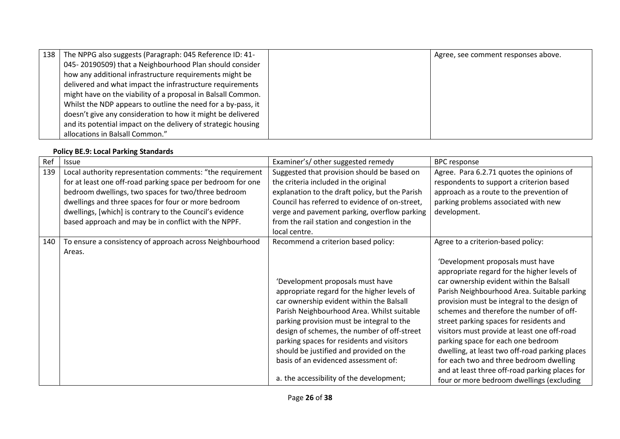| 138 The NPPG also suggests (Paragraph: 045 Reference ID: 41-  | Agree, see comment responses above. |
|---------------------------------------------------------------|-------------------------------------|
| 045-20190509) that a Neighbourhood Plan should consider       |                                     |
| how any additional infrastructure requirements might be       |                                     |
| delivered and what impact the infrastructure requirements     |                                     |
| might have on the viability of a proposal in Balsall Common.  |                                     |
| Whilst the NDP appears to outline the need for a by-pass, it  |                                     |
| doesn't give any consideration to how it might be delivered   |                                     |
| and its potential impact on the delivery of strategic housing |                                     |
| allocations in Balsall Common."                               |                                     |

#### **Policy BE.9: Local Parking Standards**

| Ref | <b>Issue</b>                                                | Examiner's/ other suggested remedy              | <b>BPC response</b>                            |
|-----|-------------------------------------------------------------|-------------------------------------------------|------------------------------------------------|
| 139 | Local authority representation comments: "the requirement   | Suggested that provision should be based on     | Agree. Para 6.2.71 quotes the opinions of      |
|     | for at least one off-road parking space per bedroom for one | the criteria included in the original           | respondents to support a criterion based       |
|     | bedroom dwellings, two spaces for two/three bedroom         | explanation to the draft policy, but the Parish | approach as a route to the prevention of       |
|     | dwellings and three spaces for four or more bedroom         | Council has referred to evidence of on-street,  | parking problems associated with new           |
|     | dwellings, [which] is contrary to the Council's evidence    | verge and pavement parking, overflow parking    | development.                                   |
|     | based approach and may be in conflict with the NPPF.        | from the rail station and congestion in the     |                                                |
|     |                                                             | local centre.                                   |                                                |
| 140 | To ensure a consistency of approach across Neighbourhood    | Recommend a criterion based policy:             | Agree to a criterion-based policy:             |
|     | Areas.                                                      |                                                 |                                                |
|     |                                                             |                                                 | 'Development proposals must have               |
|     |                                                             |                                                 | appropriate regard for the higher levels of    |
|     |                                                             | 'Development proposals must have                | car ownership evident within the Balsall       |
|     |                                                             | appropriate regard for the higher levels of     | Parish Neighbourhood Area. Suitable parking    |
|     |                                                             | car ownership evident within the Balsall        | provision must be integral to the design of    |
|     |                                                             | Parish Neighbourhood Area. Whilst suitable      | schemes and therefore the number of off-       |
|     |                                                             | parking provision must be integral to the       | street parking spaces for residents and        |
|     |                                                             | design of schemes, the number of off-street     | visitors must provide at least one off-road    |
|     |                                                             | parking spaces for residents and visitors       | parking space for each one bedroom             |
|     |                                                             | should be justified and provided on the         | dwelling, at least two off-road parking places |
|     |                                                             | basis of an evidenced assessment of:            | for each two and three bedroom dwelling        |
|     |                                                             |                                                 | and at least three off-road parking places for |
|     |                                                             | a. the accessibility of the development;        | four or more bedroom dwellings (excluding      |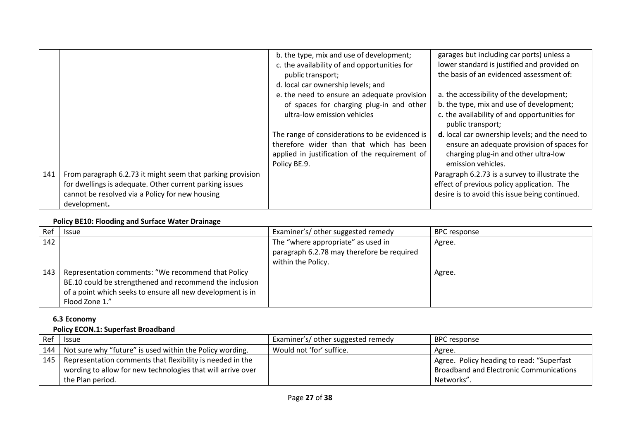|     |                                                            | b. the type, mix and use of development;<br>c. the availability of and opportunities for<br>public transport; | garages but including car ports) unless a<br>lower standard is justified and provided on<br>the basis of an evidenced assessment of: |
|-----|------------------------------------------------------------|---------------------------------------------------------------------------------------------------------------|--------------------------------------------------------------------------------------------------------------------------------------|
|     |                                                            | d. local car ownership levels; and                                                                            |                                                                                                                                      |
|     |                                                            | e. the need to ensure an adequate provision                                                                   | a. the accessibility of the development;                                                                                             |
|     |                                                            | of spaces for charging plug-in and other                                                                      | b. the type, mix and use of development;                                                                                             |
|     |                                                            | ultra-low emission vehicles                                                                                   | c. the availability of and opportunities for<br>public transport;                                                                    |
|     |                                                            | The range of considerations to be evidenced is                                                                | d. local car ownership levels; and the need to                                                                                       |
|     |                                                            | therefore wider than that which has been                                                                      | ensure an adequate provision of spaces for                                                                                           |
|     |                                                            | applied in justification of the requirement of                                                                | charging plug-in and other ultra-low                                                                                                 |
|     |                                                            | Policy BE.9.                                                                                                  | emission vehicles.                                                                                                                   |
| 141 | From paragraph 6.2.73 it might seem that parking provision |                                                                                                               | Paragraph 6.2.73 is a survey to illustrate the                                                                                       |
|     | for dwellings is adequate. Other current parking issues    |                                                                                                               | effect of previous policy application. The                                                                                           |
|     | cannot be resolved via a Policy for new housing            |                                                                                                               | desire is to avoid this issue being continued.                                                                                       |
|     | development.                                               |                                                                                                               |                                                                                                                                      |

## **Policy BE10: Flooding and Surface Water Drainage**

| Ref | <b>Issue</b>                                               | Examiner's/ other suggested remedy         | BPC response |
|-----|------------------------------------------------------------|--------------------------------------------|--------------|
| 142 |                                                            | The "where appropriate" as used in         | Agree.       |
|     |                                                            | paragraph 6.2.78 may therefore be required |              |
|     |                                                            | within the Policy.                         |              |
| 143 | Representation comments: "We recommend that Policy         |                                            | Agree.       |
|     | BE.10 could be strengthened and recommend the inclusion    |                                            |              |
|     | of a point which seeks to ensure all new development is in |                                            |              |
|     | Flood Zone 1."                                             |                                            |              |

# **6.3 Economy**

# **Policy ECON.1: Superfast Broadband**

| Ref | <b>Issue</b>                                                    | Examiner's/ other suggested remedy | BPC response                                   |
|-----|-----------------------------------------------------------------|------------------------------------|------------------------------------------------|
|     | 144   Not sure why "future" is used within the Policy wording.  | Would not 'for' suffice.           | Agree.                                         |
|     | 145   Representation comments that flexibility is needed in the |                                    | Agree. Policy heading to read: "Superfast      |
|     | wording to allow for new technologies that will arrive over     |                                    | <b>Broadband and Electronic Communications</b> |
|     | the Plan period.                                                |                                    | Networks".                                     |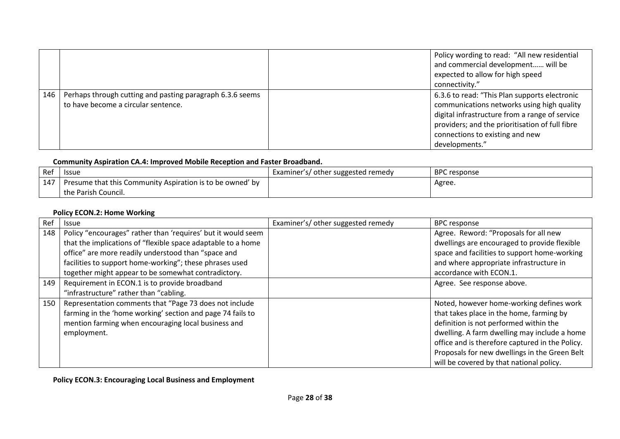|     |                                                                                                  | Policy wording to read: "All new residential<br>and commercial development will be<br>expected to allow for high speed<br>connectivity."                                                                                                              |
|-----|--------------------------------------------------------------------------------------------------|-------------------------------------------------------------------------------------------------------------------------------------------------------------------------------------------------------------------------------------------------------|
| 146 | Perhaps through cutting and pasting paragraph 6.3.6 seems<br>to have become a circular sentence. | 6.3.6 to read: "This Plan supports electronic<br>communications networks using high quality<br>digital infrastructure from a range of service<br>providers; and the prioritisation of full fibre<br>connections to existing and new<br>developments." |

## **Community Aspiration CA.4: Improved Mobile Reception and Faster Broadband.**

| Ref | <b>Issue</b>                                                           | Examiner's/ other suggested remedy | <b>BPC</b> response |
|-----|------------------------------------------------------------------------|------------------------------------|---------------------|
| 147 | <sup>1</sup> Presume that this Community Aspiration is to be owned' by |                                    | Agree.              |
|     | the Parish Council.                                                    |                                    |                     |

## **Policy ECON.2: Home Working**

| Ref | <b>Issue</b>                                                 | Examiner's/ other suggested remedy | <b>BPC response</b>                             |
|-----|--------------------------------------------------------------|------------------------------------|-------------------------------------------------|
| 148 | Policy "encourages" rather than 'requires' but it would seem |                                    | Agree. Reword: "Proposals for all new           |
|     | that the implications of "flexible space adaptable to a home |                                    | dwellings are encouraged to provide flexible    |
|     | office" are more readily understood than "space and          |                                    | space and facilities to support home-working    |
|     | facilities to support home-working"; these phrases used      |                                    | and where appropriate infrastructure in         |
|     | together might appear to be somewhat contradictory.          |                                    | accordance with ECON.1.                         |
| 149 | Requirement in ECON.1 is to provide broadband                |                                    | Agree. See response above.                      |
|     | "infrastructure" rather than "cabling.                       |                                    |                                                 |
| 150 | Representation comments that "Page 73 does not include       |                                    | Noted, however home-working defines work        |
|     | farming in the 'home working' section and page 74 fails to   |                                    | that takes place in the home, farming by        |
|     | mention farming when encouraging local business and          |                                    | definition is not performed within the          |
|     | employment.                                                  |                                    | dwelling. A farm dwelling may include a home    |
|     |                                                              |                                    | office and is therefore captured in the Policy. |
|     |                                                              |                                    | Proposals for new dwellings in the Green Belt   |
|     |                                                              |                                    | will be covered by that national policy.        |

**Policy ECON.3: Encouraging Local Business and Employment**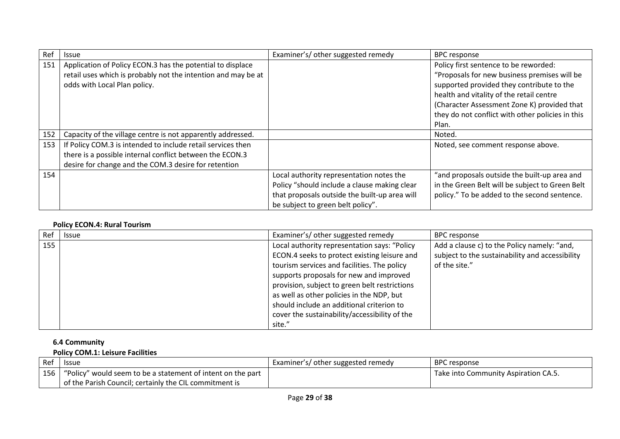| Ref | <b>Issue</b>                                                  | Examiner's/ other suggested remedy            | <b>BPC</b> response                              |
|-----|---------------------------------------------------------------|-----------------------------------------------|--------------------------------------------------|
| 151 | Application of Policy ECON.3 has the potential to displace    |                                               | Policy first sentence to be reworded:            |
|     | retail uses which is probably not the intention and may be at |                                               | "Proposals for new business premises will be     |
|     | odds with Local Plan policy.                                  |                                               | supported provided they contribute to the        |
|     |                                                               |                                               | health and vitality of the retail centre         |
|     |                                                               |                                               | (Character Assessment Zone K) provided that      |
|     |                                                               |                                               | they do not conflict with other policies in this |
|     |                                                               |                                               | Plan.                                            |
| 152 | Capacity of the village centre is not apparently addressed.   |                                               | Noted.                                           |
| 153 | If Policy COM.3 is intended to include retail services then   |                                               | Noted, see comment response above.               |
|     | there is a possible internal conflict between the ECON.3      |                                               |                                                  |
|     | desire for change and the COM.3 desire for retention          |                                               |                                                  |
| 154 |                                                               | Local authority representation notes the      | "and proposals outside the built-up area and     |
|     |                                                               | Policy "should include a clause making clear  | in the Green Belt will be subject to Green Belt  |
|     |                                                               | that proposals outside the built-up area will | policy." To be added to the second sentence.     |
|     |                                                               | be subject to green belt policy".             |                                                  |

## **Policy ECON.4: Rural Tourism**

| Ref | <b>Issue</b> | Examiner's/ other suggested remedy            | BPC response                                    |
|-----|--------------|-----------------------------------------------|-------------------------------------------------|
| 155 |              | Local authority representation says: "Policy  | Add a clause c) to the Policy namely: "and,     |
|     |              | ECON.4 seeks to protect existing leisure and  | subject to the sustainability and accessibility |
|     |              | tourism services and facilities. The policy   | of the site."                                   |
|     |              | supports proposals for new and improved       |                                                 |
|     |              | provision, subject to green belt restrictions |                                                 |
|     |              | as well as other policies in the NDP, but     |                                                 |
|     |              | should include an additional criterion to     |                                                 |
|     |              | cover the sustainability/accessibility of the |                                                 |
|     |              | site."                                        |                                                 |

# **6.4 Community**

# **Policy COM.1: Leisure Facilities**

| Ref | <b>Issue</b>                                                                    | Examiner's/ other suggested remedy | <b>BPC</b> response                  |
|-----|---------------------------------------------------------------------------------|------------------------------------|--------------------------------------|
|     | $\vert$ 156 $\vert$ "Policy" would seem to be a statement of intent on the part |                                    | Take into Community Aspiration CA.5. |
|     | of the Parish Council; certainly the CIL commitment is                          |                                    |                                      |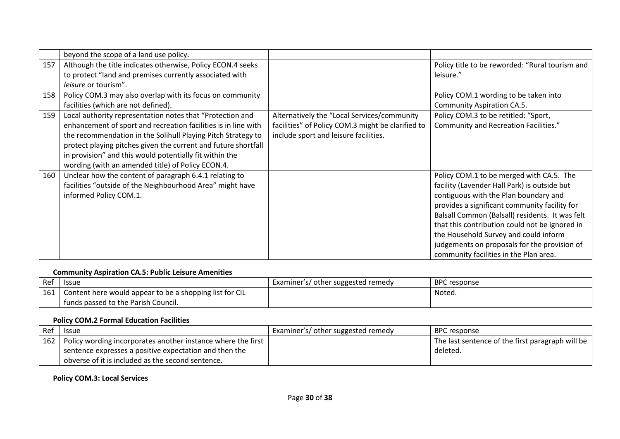|     | beyond the scope of a land use policy.                                                                                                                                                                                                                                                                                                                                        |                                                                                                                                           |                                                                                                                                                                                                                                                                                                                                                                                                                            |
|-----|-------------------------------------------------------------------------------------------------------------------------------------------------------------------------------------------------------------------------------------------------------------------------------------------------------------------------------------------------------------------------------|-------------------------------------------------------------------------------------------------------------------------------------------|----------------------------------------------------------------------------------------------------------------------------------------------------------------------------------------------------------------------------------------------------------------------------------------------------------------------------------------------------------------------------------------------------------------------------|
| 157 | Although the title indicates otherwise, Policy ECON.4 seeks<br>to protect "land and premises currently associated with<br>leisure or tourism".                                                                                                                                                                                                                                |                                                                                                                                           | Policy title to be reworded: "Rural tourism and<br>leisure."                                                                                                                                                                                                                                                                                                                                                               |
| 158 | Policy COM.3 may also overlap with its focus on community<br>facilities (which are not defined).                                                                                                                                                                                                                                                                              |                                                                                                                                           | Policy COM.1 wording to be taken into<br>Community Aspiration CA.5.                                                                                                                                                                                                                                                                                                                                                        |
| 159 | Local authority representation notes that "Protection and<br>enhancement of sport and recreation facilities is in line with<br>the recommendation in the Solihull Playing Pitch Strategy to<br>protect playing pitches given the current and future shortfall<br>in provision" and this would potentially fit within the<br>wording (with an amended title) of Policy ECON.4. | Alternatively the "Local Services/community<br>facilities" of Policy COM.3 might be clarified to<br>include sport and leisure facilities. | Policy COM.3 to be retitled: "Sport,<br>Community and Recreation Facilities."                                                                                                                                                                                                                                                                                                                                              |
| 160 | Unclear how the content of paragraph 6.4.1 relating to<br>facilities "outside of the Neighbourhood Area" might have<br>informed Policy COM.1.                                                                                                                                                                                                                                 |                                                                                                                                           | Policy COM.1 to be merged with CA.5. The<br>facility (Lavender Hall Park) is outside but<br>contiguous with the Plan boundary and<br>provides a significant community facility for<br>Balsall Common (Balsall) residents. It was felt<br>that this contribution could not be ignored in<br>the Household Survey and could inform<br>judgements on proposals for the provision of<br>community facilities in the Plan area. |

### **Community Aspiration CA.5: Public Leisure Amenities**

| Ref | <b>Issue</b>                                            | Examiner's/ other suggested remedy | <b>BPC</b> response |
|-----|---------------------------------------------------------|------------------------------------|---------------------|
| 161 | Content here would appear to be a shopping list for CIL |                                    | Noted.              |
|     | funds passed to the Parish Council.                     |                                    |                     |

#### **Policy COM.2 Formal Education Facilities**

| Ref | <b>Issue</b>                                                       | Examiner's/ other suggested remedy | BPC response                                     |
|-----|--------------------------------------------------------------------|------------------------------------|--------------------------------------------------|
|     | 162   Policy wording incorporates another instance where the first |                                    | The last sentence of the first paragraph will be |
|     | sentence expresses a positive expectation and then the             |                                    | deleted.                                         |
|     | obverse of it is included as the second sentence.                  |                                    |                                                  |

### **Policy COM.3: Local Services**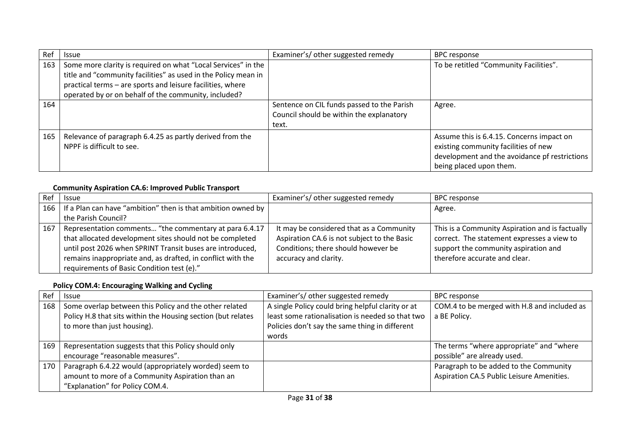| Ref | <b>Issue</b>                                                                                                                                                                                  | Examiner's/ other suggested remedy                                                              | <b>BPC response</b>                                                                                                                                           |
|-----|-----------------------------------------------------------------------------------------------------------------------------------------------------------------------------------------------|-------------------------------------------------------------------------------------------------|---------------------------------------------------------------------------------------------------------------------------------------------------------------|
| 163 | Some more clarity is required on what "Local Services" in the<br>title and "community facilities" as used in the Policy mean in<br>practical terms - are sports and leisure facilities, where |                                                                                                 | To be retitled "Community Facilities".                                                                                                                        |
|     | operated by or on behalf of the community, included?                                                                                                                                          |                                                                                                 |                                                                                                                                                               |
| 164 |                                                                                                                                                                                               | Sentence on CIL funds passed to the Parish<br>Council should be within the explanatory<br>text. | Agree.                                                                                                                                                        |
| 165 | Relevance of paragraph 6.4.25 as partly derived from the<br>NPPF is difficult to see.                                                                                                         |                                                                                                 | Assume this is 6.4.15. Concerns impact on<br>existing community facilities of new<br>development and the avoidance pf restrictions<br>being placed upon them. |

# **Community Aspiration CA.6: Improved Public Transport**

| Ref | <b>Issue</b>                                                       | Examiner's/ other suggested remedy          | <b>BPC response</b>                             |
|-----|--------------------------------------------------------------------|---------------------------------------------|-------------------------------------------------|
|     | 166   If a Plan can have "ambition" then is that ambition owned by |                                             | Agree.                                          |
|     | the Parish Council?                                                |                                             |                                                 |
| 167 | Representation comments "the commentary at para 6.4.17             | It may be considered that as a Community    | This is a Community Aspiration and is factually |
|     | that allocated development sites should not be completed           | Aspiration CA.6 is not subject to the Basic | correct. The statement expresses a view to      |
|     | until post 2026 when SPRINT Transit buses are introduced,          | Conditions; there should however be         | support the community aspiration and            |
|     | remains inappropriate and, as drafted, in conflict with the        | accuracy and clarity.                       | therefore accurate and clear.                   |
|     | requirements of Basic Condition test (e)."                         |                                             |                                                 |

# **Policy COM.4: Encouraging Walking and Cycling**

| Ref | <b>Issue</b>                                                                                                                                          | Examiner's/ other suggested remedy                                                                                                                      | <b>BPC response</b>                                         |
|-----|-------------------------------------------------------------------------------------------------------------------------------------------------------|---------------------------------------------------------------------------------------------------------------------------------------------------------|-------------------------------------------------------------|
| 168 | Some overlap between this Policy and the other related<br>Policy H.8 that sits within the Housing section (but relates<br>to more than just housing). | A single Policy could bring helpful clarity or at<br>least some rationalisation is needed so that two<br>Policies don't say the same thing in different | COM.4 to be merged with H.8 and included as<br>a BE Policy. |
|     |                                                                                                                                                       | words                                                                                                                                                   |                                                             |
| 169 | Representation suggests that this Policy should only                                                                                                  |                                                                                                                                                         | The terms "where appropriate" and "where                    |
|     | encourage "reasonable measures".                                                                                                                      |                                                                                                                                                         | possible" are already used.                                 |
| 170 | Paragraph 6.4.22 would (appropriately worded) seem to                                                                                                 |                                                                                                                                                         | Paragraph to be added to the Community                      |
|     | amount to more of a Community Aspiration than an                                                                                                      |                                                                                                                                                         | Aspiration CA.5 Public Leisure Amenities.                   |
|     | "Explanation" for Policy COM.4.                                                                                                                       |                                                                                                                                                         |                                                             |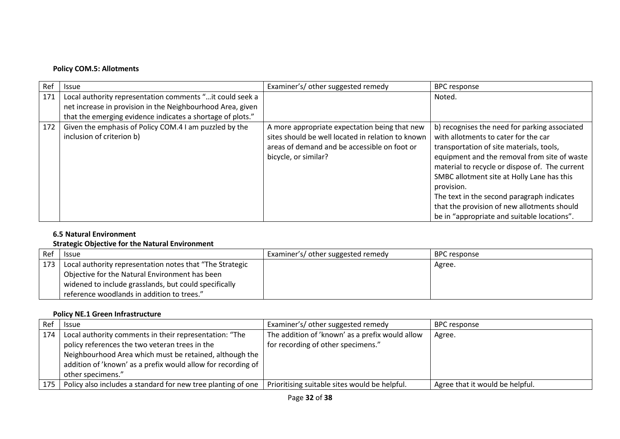# **Policy COM.5: Allotments**

| Ref | <b>Issue</b>                                                                        | Examiner's/ other suggested remedy                                                                                                                                         | <b>BPC response</b>                                                                                                                                                                                                                                                                                                                                                                                                                         |
|-----|-------------------------------------------------------------------------------------|----------------------------------------------------------------------------------------------------------------------------------------------------------------------------|---------------------------------------------------------------------------------------------------------------------------------------------------------------------------------------------------------------------------------------------------------------------------------------------------------------------------------------------------------------------------------------------------------------------------------------------|
| 171 | Local authority representation comments " it could seek a                           |                                                                                                                                                                            | Noted.                                                                                                                                                                                                                                                                                                                                                                                                                                      |
|     | net increase in provision in the Neighbourhood Area, given                          |                                                                                                                                                                            |                                                                                                                                                                                                                                                                                                                                                                                                                                             |
|     | that the emerging evidence indicates a shortage of plots."                          |                                                                                                                                                                            |                                                                                                                                                                                                                                                                                                                                                                                                                                             |
| 172 | Given the emphasis of Policy COM.4 I am puzzled by the<br>inclusion of criterion b) | A more appropriate expectation being that new<br>sites should be well located in relation to known<br>areas of demand and be accessible on foot or<br>bicycle, or similar? | b) recognises the need for parking associated<br>with allotments to cater for the car<br>transportation of site materials, tools,<br>equipment and the removal from site of waste<br>material to recycle or dispose of. The current<br>SMBC allotment site at Holly Lane has this<br>provision.<br>The text in the second paragraph indicates<br>that the provision of new allotments should<br>be in "appropriate and suitable locations". |

### **6.5 Natural Environment**

#### **Strategic Objective for the Natural Environment**

| Ref | <b>Issue</b>                                             | Examiner's/ other suggested remedy | BPC response |
|-----|----------------------------------------------------------|------------------------------------|--------------|
| 173 | Local authority representation notes that "The Strategic |                                    | Agree.       |
|     | Objective for the Natural Environment has been           |                                    |              |
|     | widened to include grasslands, but could specifically    |                                    |              |
|     | reference woodlands in addition to trees."               |                                    |              |

#### **Policy NE.1 Green Infrastructure**

| Ref   | <b>Issue</b>                                                 | Examiner's/ other suggested remedy              | <b>BPC response</b>             |
|-------|--------------------------------------------------------------|-------------------------------------------------|---------------------------------|
| 174   | Local authority comments in their representation: "The       | The addition of 'known' as a prefix would allow | Agree.                          |
|       | policy references the two veteran trees in the               | for recording of other specimens."              |                                 |
|       | Neighbourhood Area which must be retained, although the      |                                                 |                                 |
|       | addition of 'known' as a prefix would allow for recording of |                                                 |                                 |
|       | other specimens."                                            |                                                 |                                 |
| 175 I | Policy also includes a standard for new tree planting of one | Prioritising suitable sites would be helpful.   | Agree that it would be helpful. |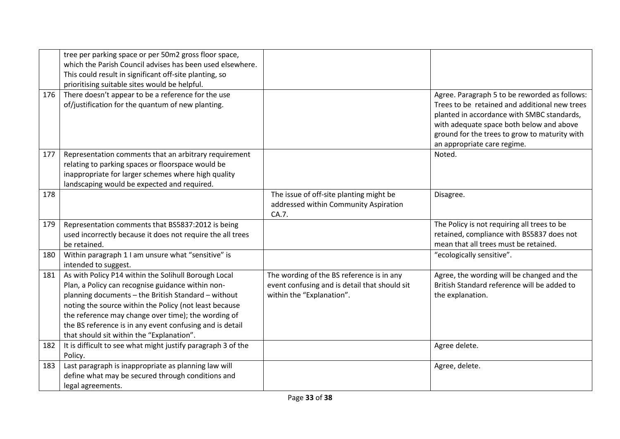|     | tree per parking space or per 50m2 gross floor space,<br>which the Parish Council advises has been used elsewhere.<br>This could result in significant off-site planting, so |                                                                                           |                                                                                                                                                                                                                                                                          |
|-----|------------------------------------------------------------------------------------------------------------------------------------------------------------------------------|-------------------------------------------------------------------------------------------|--------------------------------------------------------------------------------------------------------------------------------------------------------------------------------------------------------------------------------------------------------------------------|
|     | prioritising suitable sites would be helpful.                                                                                                                                |                                                                                           |                                                                                                                                                                                                                                                                          |
| 176 | There doesn't appear to be a reference for the use<br>of/justification for the quantum of new planting.                                                                      |                                                                                           | Agree. Paragraph 5 to be reworded as follows:<br>Trees to be retained and additional new trees<br>planted in accordance with SMBC standards,<br>with adequate space both below and above<br>ground for the trees to grow to maturity with<br>an appropriate care regime. |
| 177 | Representation comments that an arbitrary requirement                                                                                                                        |                                                                                           | Noted.                                                                                                                                                                                                                                                                   |
|     | relating to parking spaces or floorspace would be                                                                                                                            |                                                                                           |                                                                                                                                                                                                                                                                          |
|     | inappropriate for larger schemes where high quality                                                                                                                          |                                                                                           |                                                                                                                                                                                                                                                                          |
|     | landscaping would be expected and required.                                                                                                                                  |                                                                                           |                                                                                                                                                                                                                                                                          |
| 178 |                                                                                                                                                                              | The issue of off-site planting might be<br>addressed within Community Aspiration<br>CA.7. | Disagree.                                                                                                                                                                                                                                                                |
| 179 | Representation comments that BS5837:2012 is being                                                                                                                            |                                                                                           | The Policy is not requiring all trees to be                                                                                                                                                                                                                              |
|     | used incorrectly because it does not require the all trees                                                                                                                   |                                                                                           | retained, compliance with BS5837 does not                                                                                                                                                                                                                                |
|     | be retained.                                                                                                                                                                 |                                                                                           | mean that all trees must be retained.                                                                                                                                                                                                                                    |
| 180 | Within paragraph 1 I am unsure what "sensitive" is<br>intended to suggest.                                                                                                   |                                                                                           | "ecologically sensitive".                                                                                                                                                                                                                                                |
| 181 | As with Policy P14 within the Solihull Borough Local                                                                                                                         | The wording of the BS reference is in any                                                 | Agree, the wording will be changed and the                                                                                                                                                                                                                               |
|     | Plan, a Policy can recognise guidance within non-                                                                                                                            | event confusing and is detail that should sit                                             | British Standard reference will be added to                                                                                                                                                                                                                              |
|     | planning documents - the British Standard - without                                                                                                                          | within the "Explanation".                                                                 | the explanation.                                                                                                                                                                                                                                                         |
|     | noting the source within the Policy (not least because                                                                                                                       |                                                                                           |                                                                                                                                                                                                                                                                          |
|     | the reference may change over time); the wording of                                                                                                                          |                                                                                           |                                                                                                                                                                                                                                                                          |
|     | the BS reference is in any event confusing and is detail                                                                                                                     |                                                                                           |                                                                                                                                                                                                                                                                          |
|     | that should sit within the "Explanation".                                                                                                                                    |                                                                                           |                                                                                                                                                                                                                                                                          |
| 182 | It is difficult to see what might justify paragraph 3 of the                                                                                                                 |                                                                                           | Agree delete.                                                                                                                                                                                                                                                            |
|     | Policy.                                                                                                                                                                      |                                                                                           |                                                                                                                                                                                                                                                                          |
| 183 | Last paragraph is inappropriate as planning law will                                                                                                                         |                                                                                           | Agree, delete.                                                                                                                                                                                                                                                           |
|     | define what may be secured through conditions and                                                                                                                            |                                                                                           |                                                                                                                                                                                                                                                                          |
|     | legal agreements.                                                                                                                                                            |                                                                                           |                                                                                                                                                                                                                                                                          |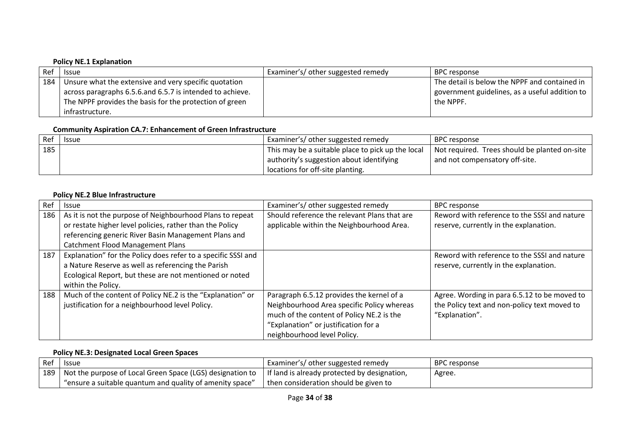### **Policy NE.1 Explanation**

| Ref | <b>Issue</b>                                                | Examiner's/ other suggested remedy | BPC response                                   |
|-----|-------------------------------------------------------------|------------------------------------|------------------------------------------------|
|     | 184   Unsure what the extensive and very specific quotation |                                    | The detail is below the NPPF and contained in  |
|     | across paragraphs 6.5.6.and 6.5.7 is intended to achieve.   |                                    | government guidelines, as a useful addition to |
|     | The NPPF provides the basis for the protection of green     |                                    | the NPPF.                                      |
|     | infrastructure.                                             |                                    |                                                |

### **Community Aspiration CA.7: Enhancement of Green Infrastructure**

| $ $ Ref $ $ | <b>Issue</b> | Examiner's/ other suggested remedy                | BPC response                                  |
|-------------|--------------|---------------------------------------------------|-----------------------------------------------|
| $\vert$ 185 |              | This may be a suitable place to pick up the local | Not required. Trees should be planted on-site |
|             |              | authority's suggestion about identifying          | and not compensatory off-site.                |
|             |              | locations for off-site planting.                  |                                               |

### **Policy NE.2 Blue Infrastructure**

| Ref | <b>Issue</b>                                                  | Examiner's/ other suggested remedy           | <b>BPC</b> response                          |
|-----|---------------------------------------------------------------|----------------------------------------------|----------------------------------------------|
| 186 | As it is not the purpose of Neighbourhood Plans to repeat     | Should reference the relevant Plans that are | Reword with reference to the SSSI and nature |
|     | or restate higher level policies, rather than the Policy      | applicable within the Neighbourhood Area.    | reserve, currently in the explanation.       |
|     | referencing generic River Basin Management Plans and          |                                              |                                              |
|     | <b>Catchment Flood Management Plans</b>                       |                                              |                                              |
| 187 | Explanation" for the Policy does refer to a specific SSSI and |                                              | Reword with reference to the SSSI and nature |
|     | a Nature Reserve as well as referencing the Parish            |                                              | reserve, currently in the explanation.       |
|     | Ecological Report, but these are not mentioned or noted       |                                              |                                              |
|     | within the Policy.                                            |                                              |                                              |
| 188 | Much of the content of Policy NE.2 is the "Explanation" or    | Paragraph 6.5.12 provides the kernel of a    | Agree. Wording in para 6.5.12 to be moved to |
|     | justification for a neighbourhood level Policy.               | Neighbourhood Area specific Policy whereas   | the Policy text and non-policy text moved to |
|     |                                                               | much of the content of Policy NE.2 is the    | "Explanation".                               |
|     |                                                               | "Explanation" or justification for a         |                                              |
|     |                                                               | neighbourhood level Policy.                  |                                              |

#### **Policy NE.3: Designated Local Green Spaces**

| Ref | <b>Issue</b>                                                                                | Examiner's/ other suggested remedy             | BPC response |
|-----|---------------------------------------------------------------------------------------------|------------------------------------------------|--------------|
|     | $\frac{1}{1}$ 189   Not the purpose of Local Green Space (LGS) designation to $\frac{1}{1}$ | I If land is already protected by designation, | Agree.       |
|     | "ensure a suitable quantum and quality of amenity space"                                    | then consideration should be given to          |              |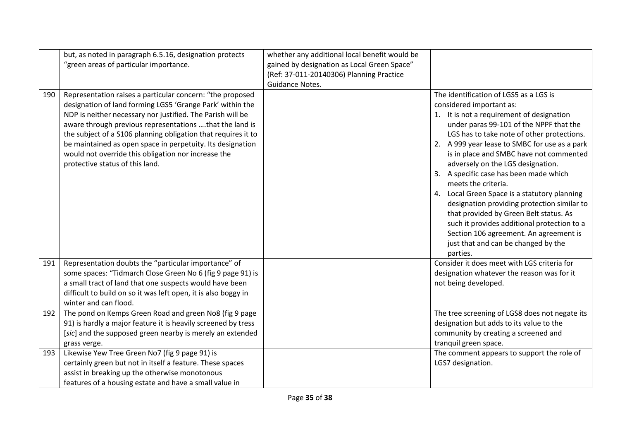|     | but, as noted in paragraph 6.5.16, designation protects<br>"green areas of particular importance.                                                                                                                                                                                                                                                                                                                                                                        | whether any additional local benefit would be<br>gained by designation as Local Green Space"<br>(Ref: 37-011-20140306) Planning Practice<br>Guidance Notes. |                                                                                                                                                                                                                                                                                                                                                                                                                                                                                                                                                                                                                                                                                                 |
|-----|--------------------------------------------------------------------------------------------------------------------------------------------------------------------------------------------------------------------------------------------------------------------------------------------------------------------------------------------------------------------------------------------------------------------------------------------------------------------------|-------------------------------------------------------------------------------------------------------------------------------------------------------------|-------------------------------------------------------------------------------------------------------------------------------------------------------------------------------------------------------------------------------------------------------------------------------------------------------------------------------------------------------------------------------------------------------------------------------------------------------------------------------------------------------------------------------------------------------------------------------------------------------------------------------------------------------------------------------------------------|
| 190 | Representation raises a particular concern: "the proposed<br>designation of land forming LGS5 'Grange Park' within the<br>NDP is neither necessary nor justified. The Parish will be<br>aware through previous representations that the land is<br>the subject of a S106 planning obligation that requires it to<br>be maintained as open space in perpetuity. Its designation<br>would not override this obligation nor increase the<br>protective status of this land. |                                                                                                                                                             | The identification of LGS5 as a LGS is<br>considered important as:<br>1. It is not a requirement of designation<br>under paras 99-101 of the NPPF that the<br>LGS has to take note of other protections.<br>2. A 999 year lease to SMBC for use as a park<br>is in place and SMBC have not commented<br>adversely on the LGS designation.<br>3. A specific case has been made which<br>meets the criteria.<br>4. Local Green Space is a statutory planning<br>designation providing protection similar to<br>that provided by Green Belt status. As<br>such it provides additional protection to a<br>Section 106 agreement. An agreement is<br>just that and can be changed by the<br>parties. |
| 191 | Representation doubts the "particular importance" of<br>some spaces: "Tidmarch Close Green No 6 (fig 9 page 91) is<br>a small tract of land that one suspects would have been<br>difficult to build on so it was left open, it is also boggy in<br>winter and can flood.                                                                                                                                                                                                 |                                                                                                                                                             | Consider it does meet with LGS criteria for<br>designation whatever the reason was for it<br>not being developed.                                                                                                                                                                                                                                                                                                                                                                                                                                                                                                                                                                               |
| 192 | The pond on Kemps Green Road and green No8 (fig 9 page<br>91) is hardly a major feature it is heavily screened by tress<br>[sic] and the supposed green nearby is merely an extended<br>grass verge.                                                                                                                                                                                                                                                                     |                                                                                                                                                             | The tree screening of LGS8 does not negate its<br>designation but adds to its value to the<br>community by creating a screened and<br>tranquil green space.                                                                                                                                                                                                                                                                                                                                                                                                                                                                                                                                     |
| 193 | Likewise Yew Tree Green No7 (fig 9 page 91) is<br>certainly green but not in itself a feature. These spaces<br>assist in breaking up the otherwise monotonous<br>features of a housing estate and have a small value in                                                                                                                                                                                                                                                  |                                                                                                                                                             | The comment appears to support the role of<br>LGS7 designation.                                                                                                                                                                                                                                                                                                                                                                                                                                                                                                                                                                                                                                 |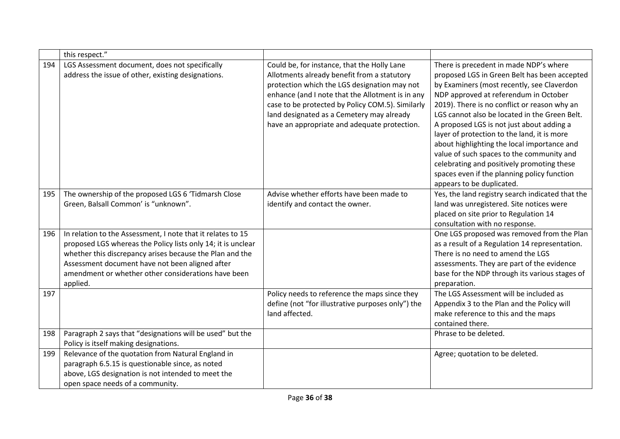|     | this respect."                                                                                                                                                                                                                                                                                                |                                                                                                                                                                                                                                                                                                                                                 |                                                                                                                                                                                                                                                                                                                                                                                                                                                                                                                                                                                                  |
|-----|---------------------------------------------------------------------------------------------------------------------------------------------------------------------------------------------------------------------------------------------------------------------------------------------------------------|-------------------------------------------------------------------------------------------------------------------------------------------------------------------------------------------------------------------------------------------------------------------------------------------------------------------------------------------------|--------------------------------------------------------------------------------------------------------------------------------------------------------------------------------------------------------------------------------------------------------------------------------------------------------------------------------------------------------------------------------------------------------------------------------------------------------------------------------------------------------------------------------------------------------------------------------------------------|
| 194 | LGS Assessment document, does not specifically<br>address the issue of other, existing designations.                                                                                                                                                                                                          | Could be, for instance, that the Holly Lane<br>Allotments already benefit from a statutory<br>protection which the LGS designation may not<br>enhance (and I note that the Allotment is in any<br>case to be protected by Policy COM.5). Similarly<br>land designated as a Cemetery may already<br>have an appropriate and adequate protection. | There is precedent in made NDP's where<br>proposed LGS in Green Belt has been accepted<br>by Examiners (most recently, see Claverdon<br>NDP approved at referendum in October<br>2019). There is no conflict or reason why an<br>LGS cannot also be located in the Green Belt.<br>A proposed LGS is not just about adding a<br>layer of protection to the land, it is more<br>about highlighting the local importance and<br>value of such spaces to the community and<br>celebrating and positively promoting these<br>spaces even if the planning policy function<br>appears to be duplicated. |
| 195 | The ownership of the proposed LGS 6 'Tidmarsh Close<br>Green, Balsall Common' is "unknown".                                                                                                                                                                                                                   | Advise whether efforts have been made to<br>identify and contact the owner.                                                                                                                                                                                                                                                                     | Yes, the land registry search indicated that the<br>land was unregistered. Site notices were<br>placed on site prior to Regulation 14<br>consultation with no response.                                                                                                                                                                                                                                                                                                                                                                                                                          |
| 196 | In relation to the Assessment, I note that it relates to 15<br>proposed LGS whereas the Policy lists only 14; it is unclear<br>whether this discrepancy arises because the Plan and the<br>Assessment document have not been aligned after<br>amendment or whether other considerations have been<br>applied. |                                                                                                                                                                                                                                                                                                                                                 | One LGS proposed was removed from the Plan<br>as a result of a Regulation 14 representation.<br>There is no need to amend the LGS<br>assessments. They are part of the evidence<br>base for the NDP through its various stages of<br>preparation.                                                                                                                                                                                                                                                                                                                                                |
| 197 |                                                                                                                                                                                                                                                                                                               | Policy needs to reference the maps since they<br>define (not "for illustrative purposes only") the<br>land affected.                                                                                                                                                                                                                            | The LGS Assessment will be included as<br>Appendix 3 to the Plan and the Policy will<br>make reference to this and the maps<br>contained there.                                                                                                                                                                                                                                                                                                                                                                                                                                                  |
| 198 | Paragraph 2 says that "designations will be used" but the<br>Policy is itself making designations.                                                                                                                                                                                                            |                                                                                                                                                                                                                                                                                                                                                 | Phrase to be deleted.                                                                                                                                                                                                                                                                                                                                                                                                                                                                                                                                                                            |
| 199 | Relevance of the quotation from Natural England in<br>paragraph 6.5.15 is questionable since, as noted<br>above, LGS designation is not intended to meet the<br>open space needs of a community.                                                                                                              |                                                                                                                                                                                                                                                                                                                                                 | Agree; quotation to be deleted.                                                                                                                                                                                                                                                                                                                                                                                                                                                                                                                                                                  |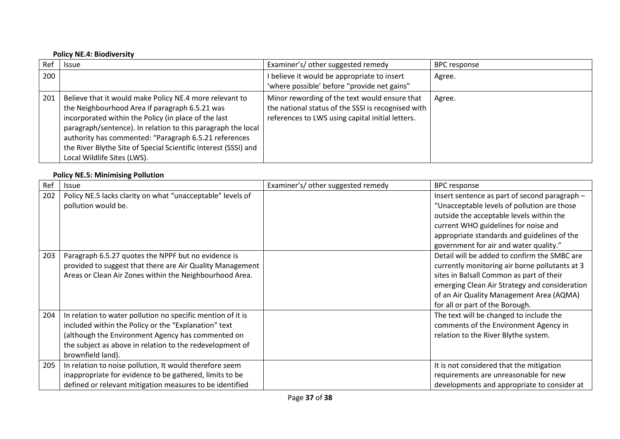#### **Policy NE.4: Biodiversity**

| Ref | <b>Issue</b>                                                                                                                                                                                                                                                                                                                                                                                 | Examiner's/ other suggested remedy                                                                                                                      | <b>BPC response</b> |
|-----|----------------------------------------------------------------------------------------------------------------------------------------------------------------------------------------------------------------------------------------------------------------------------------------------------------------------------------------------------------------------------------------------|---------------------------------------------------------------------------------------------------------------------------------------------------------|---------------------|
| 200 |                                                                                                                                                                                                                                                                                                                                                                                              | I believe it would be appropriate to insert<br>'where possible' before "provide net gains"                                                              | Agree.              |
| 201 | Believe that it would make Policy NE.4 more relevant to<br>the Neighbourhood Area if paragraph 6.5.21 was<br>incorporated within the Policy (in place of the last<br>paragraph/sentence). In relation to this paragraph the local<br>authority has commented: "Paragraph 6.5.21 references<br>the River Blythe Site of Special Scientific Interest (SSSI) and<br>Local Wildlife Sites (LWS). | Minor rewording of the text would ensure that<br>the national status of the SSSI is recognised with<br>references to LWS using capital initial letters. | Agree.              |

# **Policy NE.5: Minimising Pollution**

| Ref | <b>Issue</b>                                                | Examiner's/ other suggested remedy | <b>BPC</b> response                            |
|-----|-------------------------------------------------------------|------------------------------------|------------------------------------------------|
| 202 | Policy NE.5 lacks clarity on what "unacceptable" levels of  |                                    | Insert sentence as part of second paragraph -  |
|     | pollution would be.                                         |                                    | "Unacceptable levels of pollution are those    |
|     |                                                             |                                    | outside the acceptable levels within the       |
|     |                                                             |                                    | current WHO guidelines for noise and           |
|     |                                                             |                                    | appropriate standards and guidelines of the    |
|     |                                                             |                                    | government for air and water quality."         |
| 203 | Paragraph 6.5.27 quotes the NPPF but no evidence is         |                                    | Detail will be added to confirm the SMBC are   |
|     | provided to suggest that there are Air Quality Management   |                                    | currently monitoring air borne pollutants at 3 |
|     | Areas or Clean Air Zones within the Neighbourhood Area.     |                                    | sites in Balsall Common as part of their       |
|     |                                                             |                                    | emerging Clean Air Strategy and consideration  |
|     |                                                             |                                    | of an Air Quality Management Area (AQMA)       |
|     |                                                             |                                    | for all or part of the Borough.                |
| 204 | In relation to water pollution no specific mention of it is |                                    | The text will be changed to include the        |
|     | included within the Policy or the "Explanation" text        |                                    | comments of the Environment Agency in          |
|     | (although the Environment Agency has commented on           |                                    | relation to the River Blythe system.           |
|     | the subject as above in relation to the redevelopment of    |                                    |                                                |
|     | brownfield land).                                           |                                    |                                                |
| 205 | In relation to noise pollution, It would therefore seem     |                                    | It is not considered that the mitigation       |
|     | inappropriate for evidence to be gathered, limits to be     |                                    | requirements are unreasonable for new          |
|     | defined or relevant mitigation measures to be identified    |                                    | developments and appropriate to consider at    |